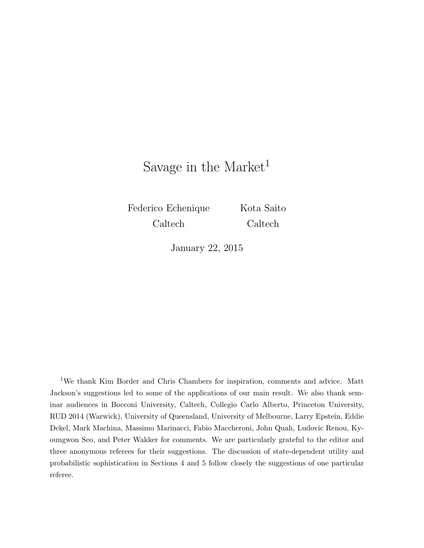# Savage in the Market<sup>1</sup>

Federico Echenique Caltech

Kota Saito Caltech

January 22, 2015

<sup>1</sup>We thank Kim Border and Chris Chambers for inspiration, comments and advice. Matt Jackson's suggestions led to some of the applications of our main result. We also thank seminar audiences in Bocconi University, Caltech, Collegio Carlo Alberto, Princeton University, RUD 2014 (Warwick), University of Queensland, University of Melbourne, Larry Epstein, Eddie Dekel, Mark Machina, Massimo Marinacci, Fabio Maccheroni, John Quah, Ludovic Renou, Kyoungwon Seo, and Peter Wakker for comments. We are particularly grateful to the editor and three anonymous referees for their suggestions. The discussion of state-dependent utility and probabilistic sophistication in Sections 4 and 5 follow closely the suggestions of one particular referee.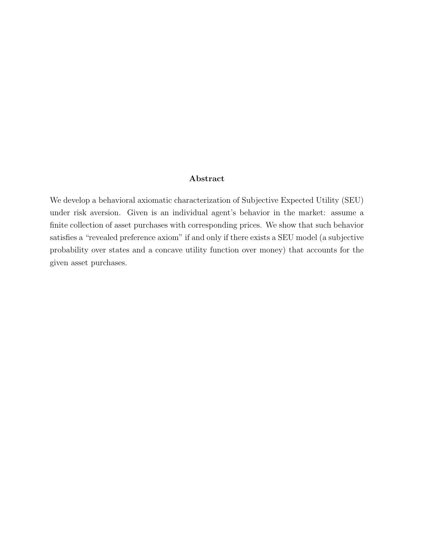### Abstract

We develop a behavioral axiomatic characterization of Subjective Expected Utility (SEU) under risk aversion. Given is an individual agent's behavior in the market: assume a finite collection of asset purchases with corresponding prices. We show that such behavior satisfies a "revealed preference axiom" if and only if there exists a SEU model (a subjective probability over states and a concave utility function over money) that accounts for the given asset purchases.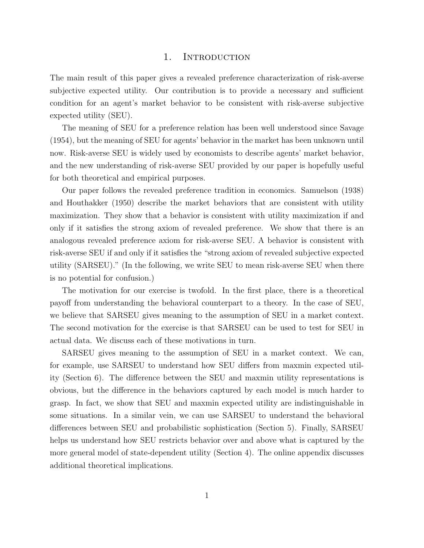#### 1. INTRODUCTION

The main result of this paper gives a revealed preference characterization of risk-averse subjective expected utility. Our contribution is to provide a necessary and sufficient condition for an agent's market behavior to be consistent with risk-averse subjective expected utility (SEU).

The meaning of SEU for a preference relation has been well understood since Savage (1954), but the meaning of SEU for agents' behavior in the market has been unknown until now. Risk-averse SEU is widely used by economists to describe agents' market behavior, and the new understanding of risk-averse SEU provided by our paper is hopefully useful for both theoretical and empirical purposes.

Our paper follows the revealed preference tradition in economics. Samuelson (1938) and Houthakker (1950) describe the market behaviors that are consistent with utility maximization. They show that a behavior is consistent with utility maximization if and only if it satisfies the strong axiom of revealed preference. We show that there is an analogous revealed preference axiom for risk-averse SEU. A behavior is consistent with risk-averse SEU if and only if it satisfies the "strong axiom of revealed subjective expected utility (SARSEU)." (In the following, we write SEU to mean risk-averse SEU when there is no potential for confusion.)

The motivation for our exercise is twofold. In the first place, there is a theoretical payoff from understanding the behavioral counterpart to a theory. In the case of SEU, we believe that SARSEU gives meaning to the assumption of SEU in a market context. The second motivation for the exercise is that SARSEU can be used to test for SEU in actual data. We discuss each of these motivations in turn.

SARSEU gives meaning to the assumption of SEU in a market context. We can, for example, use SARSEU to understand how SEU differs from maxmin expected utility (Section 6). The difference between the SEU and maxmin utility representations is obvious, but the difference in the behaviors captured by each model is much harder to grasp. In fact, we show that SEU and maxmin expected utility are indistinguishable in some situations. In a similar vein, we can use SARSEU to understand the behavioral differences between SEU and probabilistic sophistication (Section 5). Finally, SARSEU helps us understand how SEU restricts behavior over and above what is captured by the more general model of state-dependent utility (Section 4). The online appendix discusses additional theoretical implications.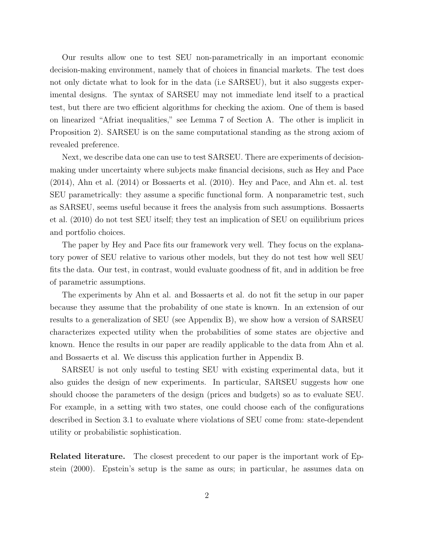Our results allow one to test SEU non-parametrically in an important economic decision-making environment, namely that of choices in financial markets. The test does not only dictate what to look for in the data (i.e SARSEU), but it also suggests experimental designs. The syntax of SARSEU may not immediate lend itself to a practical test, but there are two efficient algorithms for checking the axiom. One of them is based on linearized "Afriat inequalities," see Lemma 7 of Section A. The other is implicit in Proposition 2). SARSEU is on the same computational standing as the strong axiom of revealed preference.

Next, we describe data one can use to test SARSEU. There are experiments of decisionmaking under uncertainty where subjects make financial decisions, such as Hey and Pace (2014), Ahn et al. (2014) or Bossaerts et al. (2010). Hey and Pace, and Ahn et. al. test SEU parametrically: they assume a specific functional form. A nonparametric test, such as SARSEU, seems useful because it frees the analysis from such assumptions. Bossaerts et al. (2010) do not test SEU itself; they test an implication of SEU on equilibrium prices and portfolio choices.

The paper by Hey and Pace fits our framework very well. They focus on the explanatory power of SEU relative to various other models, but they do not test how well SEU fits the data. Our test, in contrast, would evaluate goodness of fit, and in addition be free of parametric assumptions.

The experiments by Ahn et al. and Bossaerts et al. do not fit the setup in our paper because they assume that the probability of one state is known. In an extension of our results to a generalization of SEU (see Appendix B), we show how a version of SARSEU characterizes expected utility when the probabilities of some states are objective and known. Hence the results in our paper are readily applicable to the data from Ahn et al. and Bossaerts et al. We discuss this application further in Appendix B.

SARSEU is not only useful to testing SEU with existing experimental data, but it also guides the design of new experiments. In particular, SARSEU suggests how one should choose the parameters of the design (prices and budgets) so as to evaluate SEU. For example, in a setting with two states, one could choose each of the configurations described in Section 3.1 to evaluate where violations of SEU come from: state-dependent utility or probabilistic sophistication.

Related literature. The closest precedent to our paper is the important work of Epstein (2000). Epstein's setup is the same as ours; in particular, he assumes data on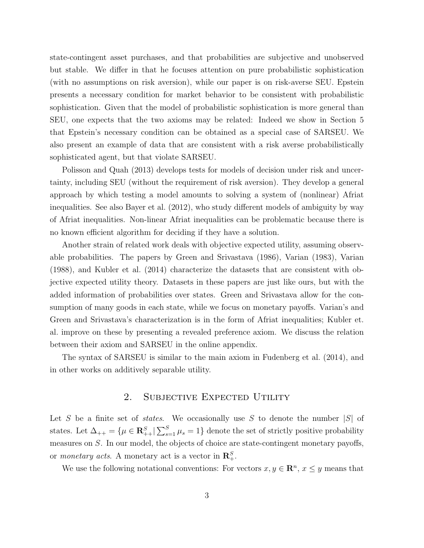state-contingent asset purchases, and that probabilities are subjective and unobserved but stable. We differ in that he focuses attention on pure probabilistic sophistication (with no assumptions on risk aversion), while our paper is on risk-averse SEU. Epstein presents a necessary condition for market behavior to be consistent with probabilistic sophistication. Given that the model of probabilistic sophistication is more general than SEU, one expects that the two axioms may be related: Indeed we show in Section 5 that Epstein's necessary condition can be obtained as a special case of SARSEU. We also present an example of data that are consistent with a risk averse probabilistically sophisticated agent, but that violate SARSEU.

Polisson and Quah (2013) develops tests for models of decision under risk and uncertainty, including SEU (without the requirement of risk aversion). They develop a general approach by which testing a model amounts to solving a system of (nonlinear) Afriat inequalities. See also Bayer et al. (2012), who study different models of ambiguity by way of Afriat inequalities. Non-linear Afriat inequalities can be problematic because there is no known efficient algorithm for deciding if they have a solution.

Another strain of related work deals with objective expected utility, assuming observable probabilities. The papers by Green and Srivastava (1986), Varian (1983), Varian (1988), and Kubler et al. (2014) characterize the datasets that are consistent with objective expected utility theory. Datasets in these papers are just like ours, but with the added information of probabilities over states. Green and Srivastava allow for the consumption of many goods in each state, while we focus on monetary payoffs. Varian's and Green and Srivastava's characterization is in the form of Afriat inequalities; Kubler et. al. improve on these by presenting a revealed preference axiom. We discuss the relation between their axiom and SARSEU in the online appendix.

The syntax of SARSEU is similar to the main axiom in Fudenberg et al. (2014), and in other works on additively separable utility.

# 2. Subjective Expected Utility

Let S be a finite set of *states*. We occasionally use S to denote the number  $|S|$  of states. Let  $\Delta_{++} = \{\mu \in \mathbb{R}^S_{++} | \sum_{s=1}^S \mu_s = 1\}$  denote the set of strictly positive probability measures on S. In our model, the objects of choice are state-contingent monetary payoffs, or *monetary acts*. A monetary act is a vector in  $\mathbb{R}^S_+$ .

We use the following notational conventions: For vectors  $x, y \in \mathbb{R}^n$ ,  $x \leq y$  means that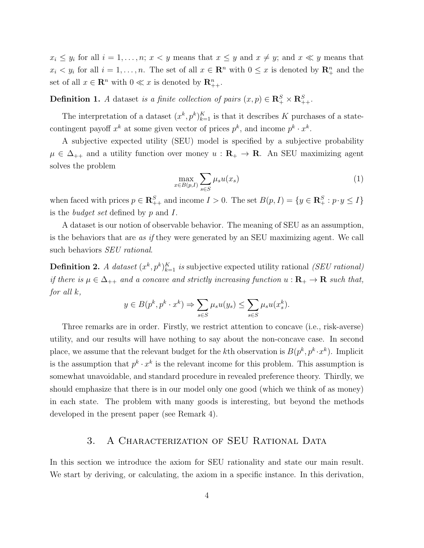$x_i \leq y_i$  for all  $i = 1, \ldots, n; x < y$  means that  $x \leq y$  and  $x \neq y$ ; and  $x \ll y$  means that  $x_i < y_i$  for all  $i = 1, ..., n$ . The set of all  $x \in \mathbb{R}^n$  with  $0 \leq x$  is denoted by  $\mathbb{R}^n_+$  and the set of all  $x \in \mathbb{R}^n$  with  $0 \ll x$  is denoted by  $\mathbb{R}_{++}^n$ .

**Definition 1.** A dataset is a finite collection of pairs  $(x, p) \in \mathbb{R}_+^S \times \mathbb{R}_{++}^S$ .

The interpretation of a dataset  $(x^k, p^k)_{k=1}^K$  is that it describes K purchases of a statecontingent payoff  $x^k$  at some given vector of prices  $p^k$ , and income  $p^k \cdot x^k$ .

A subjective expected utility (SEU) model is specified by a subjective probability  $\mu \in \Delta_{++}$  and a utility function over money  $u : \mathbf{R}_{+} \to \mathbf{R}$ . An SEU maximizing agent solves the problem

$$
\max_{x \in B(p,I)} \sum_{s \in S} \mu_s u(x_s) \tag{1}
$$

when faced with prices  $p \in \mathbb{R}_{++}^S$  and income  $I > 0$ . The set  $B(p, I) = \{y \in \mathbb{R}_{+}^S : p \cdot y \leq I\}$ is the *budget set* defined by  $p$  and  $I$ .

A dataset is our notion of observable behavior. The meaning of SEU as an assumption, is the behaviors that are as if they were generated by an SEU maximizing agent. We call such behaviors *SEU rational*.

**Definition 2.** A dataset  $(x^k, p^k)_{k=1}^K$  is subjective expected utility rational (SEU rational) if there is  $\mu \in \Delta_{++}$  and a concave and strictly increasing function  $u : \mathbf{R}_{+} \to \mathbf{R}$  such that, for all k,

$$
y \in B(p^k, p^k \cdot x^k) \Rightarrow \sum_{s \in S} \mu_s u(y_s) \le \sum_{s \in S} \mu_s u(x_s^k).
$$

Three remarks are in order. Firstly, we restrict attention to concave (i.e., risk-averse) utility, and our results will have nothing to say about the non-concave case. In second place, we assume that the relevant budget for the kth observation is  $B(p^k, p^k \cdot x^k)$ . Implicit is the assumption that  $p^k \cdot x^k$  is the relevant income for this problem. This assumption is somewhat unavoidable, and standard procedure in revealed preference theory. Thirdly, we should emphasize that there is in our model only one good (which we think of as money) in each state. The problem with many goods is interesting, but beyond the methods developed in the present paper (see Remark 4).

## 3. A CHARACTERIZATION OF SEU RATIONAL DATA

In this section we introduce the axiom for SEU rationality and state our main result. We start by deriving, or calculating, the axiom in a specific instance. In this derivation,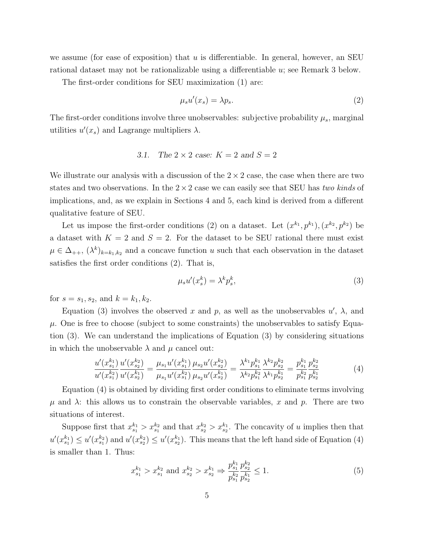we assume (for ease of exposition) that  $u$  is differentiable. In general, however, an SEU rational dataset may not be rationalizable using a differentiable u; see Remark 3 below.

The first-order conditions for SEU maximization (1) are:

$$
\mu_s u'(x_s) = \lambda p_s. \tag{2}
$$

The first-order conditions involve three unobservables: subjective probability  $\mu_s$ , marginal utilities  $u'(x_s)$  and Lagrange multipliers  $\lambda$ .

#### 3.1. The  $2 \times 2$  case:  $K = 2$  and  $S = 2$

We illustrate our analysis with a discussion of the  $2 \times 2$  case, the case when there are two states and two observations. In the  $2 \times 2$  case we can easily see that SEU has two kinds of implications, and, as we explain in Sections 4 and 5, each kind is derived from a different qualitative feature of SEU.

Let us impose the first-order conditions (2) on a dataset. Let  $(x^{k_1}, p^{k_1}), (x^{k_2}, p^{k_2})$  be a dataset with  $K = 2$  and  $S = 2$ . For the dataset to be SEU rational there must exist  $\mu \in \Delta_{++}, \, (\lambda^k)_{k=k_1,k_2}$  and a concave function u such that each observation in the dataset satisfies the first order conditions (2). That is,

$$
\mu_s u'(x_s^k) = \lambda^k p_s^k,\tag{3}
$$

for  $s = s_1, s_2,$  and  $k = k_1, k_2$ .

Equation (3) involves the observed x and p, as well as the unobservables  $u'$ ,  $\lambda$ , and  $\mu$ . One is free to choose (subject to some constraints) the unobservables to satisfy Equation (3). We can understand the implications of Equation (3) by considering situations in which the unobservable  $\lambda$  and  $\mu$  cancel out:

$$
\frac{u'(x_{s_1}^{k_1})}{u'(x_{s_1}^{k_2})} \frac{u'(x_{s_2}^{k_2})}{u'(x_{s_2}^{k_1})} = \frac{\mu_{s_1} u'(x_{s_1}^{k_1})}{\mu_{s_1} u'(x_{s_1}^{k_2})} \frac{\mu_{s_2} u'(x_{s_2}^{k_2})}{\mu_{s_2} u'(x_{s_2}^{k_1})} = \frac{\lambda^{k_1} p_{s_1}^{k_1}}{\lambda^{k_2} p_{s_1}^{k_2}} \frac{\lambda^{k_2} p_{s_2}^{k_2}}{\lambda^{k_1} p_{s_2}^{k_1}} = \frac{p_{s_1}^{k_1} p_{s_2}^{k_2}}{p_{s_1}^{k_2} p_{s_2}^{k_1}}
$$
(4)

Equation (4) is obtained by dividing first order conditions to eliminate terms involving  $\mu$  and  $\lambda$ : this allows us to constrain the observable variables, x and p. There are two situations of interest.

Suppose first that  $x_{s_1}^{k_1} > x_{s_1}^{k_2}$  and that  $x_{s_2}^{k_2} > x_{s_2}^{k_1}$ . The concavity of u implies then that  $u'(x_{s_1}^{k_1}) \leq u'(x_{s_1}^{k_2})$  and  $u'(x_{s_2}^{k_2}) \leq u'(x_{s_2}^{k_1})$ . This means that the left hand side of Equation (4) is smaller than 1. Thus:

$$
x_{s_1}^{k_1} > x_{s_1}^{k_2} \text{ and } x_{s_2}^{k_2} > x_{s_2}^{k_1} \Rightarrow \frac{p_{s_1}^{k_1} p_{s_2}^{k_2}}{p_{s_1}^{k_2} p_{s_2}^{k_1}} \le 1. \tag{5}
$$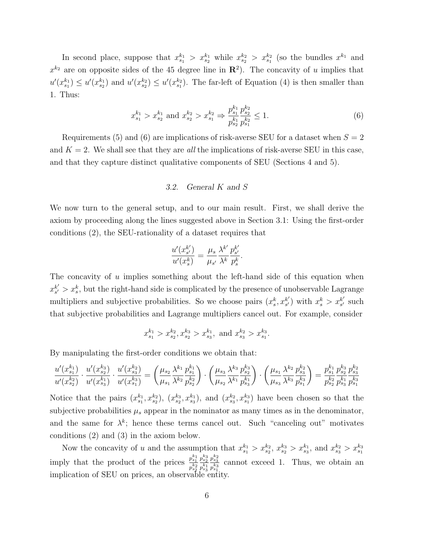In second place, suppose that  $x_{s_1}^{k_1} > x_{s_2}^{k_1}$  while  $x_{s_2}^{k_2} > x_{s_1}^{k_2}$  (so the bundles  $x^{k_1}$  and  $x^{k_2}$  are on opposite sides of the 45 degree line in  $\mathbb{R}^2$ ). The concavity of u implies that  $u'(x_{s_1}^{k_1}) \leq u'(x_{s_2}^{k_2})$  and  $u'(x_{s_2}^{k_2}) \leq u'(x_{s_1}^{k_2})$ . The far-left of Equation (4) is then smaller than 1. Thus:

$$
x_{s_1}^{k_1} > x_{s_2}^{k_1} \text{ and } x_{s_2}^{k_2} > x_{s_1}^{k_2} \Rightarrow \frac{p_{s_1}^{k_1} p_{s_2}^{k_2}}{p_{s_2}^{k_1} p_{s_1}^{k_2}} \le 1. \tag{6}
$$

Requirements (5) and (6) are implications of risk-averse SEU for a dataset when  $S = 2$ and  $K = 2$ . We shall see that they are *all* the implications of risk-averse SEU in this case, and that they capture distinct qualitative components of SEU (Sections 4 and 5).

## 3.2. General K and S

We now turn to the general setup, and to our main result. First, we shall derive the axiom by proceeding along the lines suggested above in Section 3.1: Using the first-order conditions (2), the SEU-rationality of a dataset requires that

$$
\frac{u'(x_{s'}^{k'})}{u'(x_{s}^{k})} = \frac{\mu_{s}}{\mu_{s'}} \frac{\lambda^{k'}}{\lambda^{k}} \frac{p_{s'}^{k'}}{p_{s}^{k}}.
$$

The concavity of  $u$  implies something about the left-hand side of this equation when  $x_{s'}^{k'}$  $s' > x_s^k$ , but the right-hand side is complicated by the presence of unobservable Lagrange multipliers and subjective probabilities. So we choose pairs  $(x_s^k, x_{s'}^{k'})$  $s'$ ) with  $x_s^k > x_{s'}^{k'}$  $s'$  such that subjective probabilities and Lagrange multipliers cancel out. For example, consider

$$
x_{s_1}^{k_1} > x_{s_2}^{k_2}, x_{s_2}^{k_3} > x_{s_3}^{k_1}
$$
, and  $x_{s_3}^{k_2} > x_{s_1}^{k_3}$ .

By manipulating the first-order conditions we obtain that:

$$
\frac{u'(x_{s_1}^{k_1})}{u'(x_{s_2}^{k_2})} \cdot \frac{u'(x_{s_2}^{k_3})}{u'(x_{s_3}^{k_1})} \cdot \frac{u'(x_{s_3}^{k_2})}{u'(x_{s_1}^{k_3})} = \left(\frac{\mu_{s_2}}{\mu_{s_1}} \frac{\lambda^{k_1}}{\lambda^{k_2}} \frac{p_{s_1}^{k_1}}{p_{s_2}^{k_2}}\right) \cdot \left(\frac{\mu_{s_3}}{\mu_{s_2}} \frac{\lambda^{k_3}}{\lambda^{k_1}} \frac{p_{s_3}^{k_3}}{p_{s_3}^{k_1}}\right) \cdot \left(\frac{\mu_{s_1}}{\mu_{s_3}} \frac{\lambda^{k_2}}{\lambda^{k_3}} \frac{p_{s_3}^{k_2}}{p_{s_1}^{k_1}}\frac{p_{s_2}^{k_2}}{p_{s_2}^{k_2}} \frac{p_{s_3}^{k_3}}{p_{s_1}^{k_3}}\frac{p_{s_3}^{k_2}}{p_{s_3}^{k_3}}\frac{p_{s_3}^{k_3}}{p_{s_1}^{k_3}}\right)
$$

Notice that the pairs  $(x_{s_1}^{k_1}, x_{s_2}^{k_2}), (x_{s_2}^{k_3}, x_{s_3}^{k_1}),$  and  $(x_{s_3}^{k_2}, x_{s_1}^{k_3})$  have been chosen so that the subjective probabilities  $\mu_s$  appear in the nominator as many times as in the denominator, and the same for  $\lambda^k$ ; hence these terms cancel out. Such "canceling out" motivates conditions (2) and (3) in the axiom below.

Now the concavity of u and the assumption that  $x_{s_1}^{k_1} > x_{s_2}^{k_2}$ ,  $x_{s_2}^{k_3} > x_{s_3}^{k_1}$ , and  $x_{s_3}^{k_2} > x_{s_1}^{k_3}$ imply that the product of the prices  $\frac{p_{s_1}^{k_1}}{k_2}$  $\overline{p_{s}^{k_2}}$  $p_{s_2}^{k_3}$  $\overline{p_{s}^{k}1}$  $p_{s3}^{k2}$  $\frac{k_3}{p_{s_1}^k}$ cannot exceed 1. Thus, we obtain an implication of SEU on prices, an observable entity.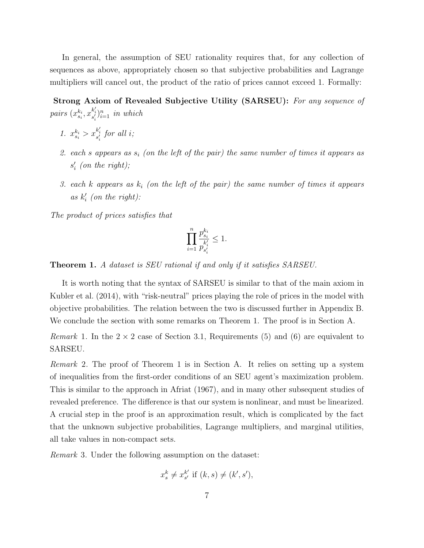In general, the assumption of SEU rationality requires that, for any collection of sequences as above, appropriately chosen so that subjective probabilities and Lagrange multipliers will cancel out, the product of the ratio of prices cannot exceed 1. Formally:

Strong Axiom of Revealed Subjective Utility (SARSEU): For any sequence of pairs  $(x_{s_i}^{k_i}, x_{s'_i}^{k'_i})_{i=1}^n$  in which

- 1.  $x_{s_i}^{k_i} > x_{s'_i}^{k'_i}$  for all *i*;
- 2. each s appears as  $s_i$  (on the left of the pair) the same number of times it appears as  $s_i'$  (on the right);
- 3. each k appears as  $k_i$  (on the left of the pair) the same number of times it appears as  $k_i'$  (on the right):

The product of prices satisfies that

$$
\prod_{i=1}^n \frac{p_{s_i}^{k_i}}{p_{s_i'}^{k_i'}} \leq 1.
$$

Theorem 1. A dataset is SEU rational if and only if it satisfies SARSEU.

It is worth noting that the syntax of SARSEU is similar to that of the main axiom in Kubler et al. (2014), with "risk-neutral" prices playing the role of prices in the model with objective probabilities. The relation between the two is discussed further in Appendix B. We conclude the section with some remarks on Theorem 1. The proof is in Section A.

*Remark* 1. In the  $2 \times 2$  case of Section 3.1, Requirements (5) and (6) are equivalent to SARSEU.

Remark 2. The proof of Theorem 1 is in Section A. It relies on setting up a system of inequalities from the first-order conditions of an SEU agent's maximization problem. This is similar to the approach in Afriat (1967), and in many other subsequent studies of revealed preference. The difference is that our system is nonlinear, and must be linearized. A crucial step in the proof is an approximation result, which is complicated by the fact that the unknown subjective probabilities, Lagrange multipliers, and marginal utilities, all take values in non-compact sets.

Remark 3. Under the following assumption on the dataset:

$$
x_s^k \neq x_{s'}^{k'}
$$
 if  $(k, s) \neq (k', s')$ ,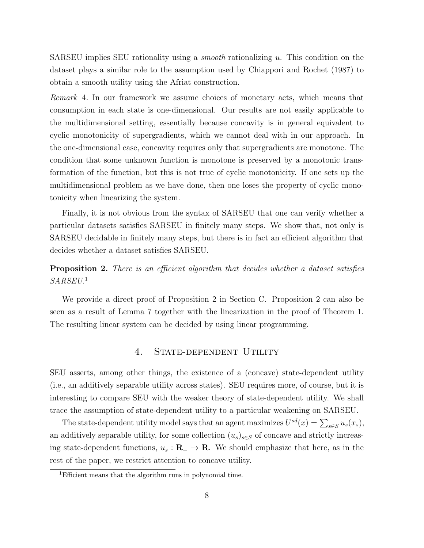SARSEU implies SEU rationality using a *smooth* rationalizing  $u$ . This condition on the dataset plays a similar role to the assumption used by Chiappori and Rochet (1987) to obtain a smooth utility using the Afriat construction.

Remark 4. In our framework we assume choices of monetary acts, which means that consumption in each state is one-dimensional. Our results are not easily applicable to the multidimensional setting, essentially because concavity is in general equivalent to cyclic monotonicity of supergradients, which we cannot deal with in our approach. In the one-dimensional case, concavity requires only that supergradients are monotone. The condition that some unknown function is monotone is preserved by a monotonic transformation of the function, but this is not true of cyclic monotonicity. If one sets up the multidimensional problem as we have done, then one loses the property of cyclic monotonicity when linearizing the system.

Finally, it is not obvious from the syntax of SARSEU that one can verify whether a particular datasets satisfies SARSEU in finitely many steps. We show that, not only is SARSEU decidable in finitely many steps, but there is in fact an efficient algorithm that decides whether a dataset satisfies SARSEU.

# **Proposition 2.** There is an efficient algorithm that decides whether a dataset satisfies  $SARSEU$ <sup>1</sup>

We provide a direct proof of Proposition 2 in Section C. Proposition 2 can also be seen as a result of Lemma 7 together with the linearization in the proof of Theorem 1. The resulting linear system can be decided by using linear programming.

# 4. STATE-DEPENDENT UTILITY

SEU asserts, among other things, the existence of a (concave) state-dependent utility (i.e., an additively separable utility across states). SEU requires more, of course, but it is interesting to compare SEU with the weaker theory of state-dependent utility. We shall trace the assumption of state-dependent utility to a particular weakening on SARSEU.

The state-dependent utility model says that an agent maximizes  $U^{sd}(x) = \sum_{s \in S} u_s(x_s)$ , an additively separable utility, for some collection  $(u_s)_{s\in S}$  of concave and strictly increasing state-dependent functions,  $u_s : \mathbf{R}_+ \to \mathbf{R}$ . We should emphasize that here, as in the rest of the paper, we restrict attention to concave utility.

<sup>&</sup>lt;sup>1</sup>Efficient means that the algorithm runs in polynomial time.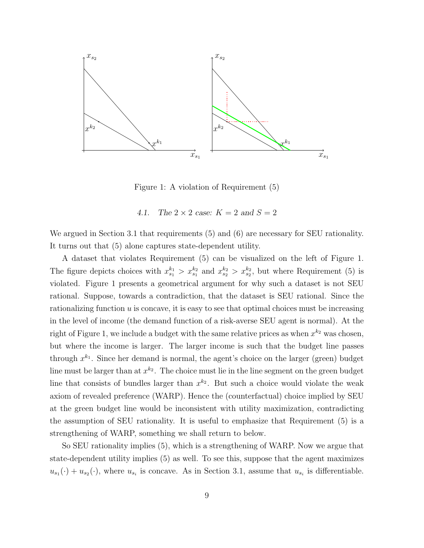

Figure 1: A violation of Requirement (5)

4.1. The  $2 \times 2$  case:  $K = 2$  and  $S = 2$ 

We argued in Section 3.1 that requirements (5) and (6) are necessary for SEU rationality. It turns out that (5) alone captures state-dependent utility.

A dataset that violates Requirement (5) can be visualized on the left of Figure 1. The figure depicts choices with  $x_{s_1}^{k_1} > x_{s_1}^{k_2}$  and  $x_{s_2}^{k_2} > x_{s_2}^{k_2}$ , but where Requirement (5) is violated. Figure 1 presents a geometrical argument for why such a dataset is not SEU rational. Suppose, towards a contradiction, that the dataset is SEU rational. Since the rationalizing function  $u$  is concave, it is easy to see that optimal choices must be increasing in the level of income (the demand function of a risk-averse SEU agent is normal). At the right of Figure 1, we include a budget with the same relative prices as when  $x^{k_2}$  was chosen, but where the income is larger. The larger income is such that the budget line passes through  $x^{k_1}$ . Since her demand is normal, the agent's choice on the larger (green) budget line must be larger than at  $x^{k_2}$ . The choice must lie in the line segment on the green budget line that consists of bundles larger than  $x^{k_2}$ . But such a choice would violate the weak axiom of revealed preference (WARP). Hence the (counterfactual) choice implied by SEU at the green budget line would be inconsistent with utility maximization, contradicting the assumption of SEU rationality. It is useful to emphasize that Requirement (5) is a strengthening of WARP, something we shall return to below.

So SEU rationality implies (5), which is a strengthening of WARP. Now we argue that state-dependent utility implies (5) as well. To see this, suppose that the agent maximizes  $u_{s_1}(\cdot) + u_{s_2}(\cdot)$ , where  $u_{s_i}$  is concave. As in Section 3.1, assume that  $u_{s_i}$  is differentiable.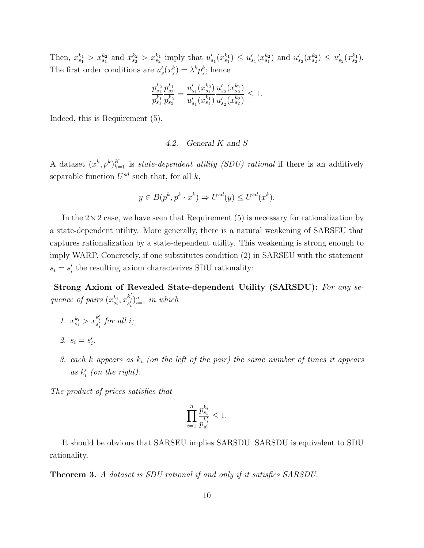Then,  $x_{s_1}^{k_1} > x_{s_1}^{k_2}$  and  $x_{s_2}^{k_2} > x_{s_2}^{k_1}$  imply that  $u'_{s_1}(x_{s_1}^{k_1}) \leq u'_{s_1}(x_{s_1}^{k_2})$  and  $u'_{s_2}(x_{s_2}^{k_2}) \leq u'_{s_2}(x_{s_2}^{k_1})$ . The first order conditions are  $u'_s(x_s^k) = \lambda^k p_s^k$ ; hence

$$
\frac{p_{s_1}^{k_2}}{p_{s_1}^{k_1}} \frac{p_{s_2}^{k_1}}{p_{s_2}^{k_2}} = \frac{u'_{s_1}(x_{s_1}^{k_2})}{u'_{s_1}(x_{s_1}^{k_1})} \frac{u'_{s_2}(x_{s_2}^{k_1})}{u'_{s_2}(x_{s_2}^{k_2})} \le 1.
$$

Indeed, this is Requirement (5).

#### 4.2. General K and S

A dataset  $(x^k, p^k)_{k=1}^K$  is *state-dependent utility (SDU) rational* if there is an additively separable function  $U^{sd}$  such that, for all  $k$ ,

$$
y \in B(p^k, p^k \cdot x^k) \Rightarrow U^{sd}(y) \le U^{sd}(x^k).
$$

In the  $2\times 2$  case, we have seen that Requirement (5) is necessary for rationalization by a state-dependent utility. More generally, there is a natural weakening of SARSEU that captures rationalization by a state-dependent utility. This weakening is strong enough to imply WARP. Concretely, if one substitutes condition (2) in SARSEU with the statement  $s_i = s'_i$  the resulting axiom characterizes SDU rationality:

Strong Axiom of Revealed State-dependent Utility (SARSDU): For any sequence of pairs  $(x_{s_i}^{k_i}, x_{s'_i}^{k'_i})_{i=1}^n$  in which

- 1.  $x_{s_i}^{k_i} > x_{s'_i}^{k'_i}$  for all *i*;
- 2.  $s_i = s'_i$ .
- 3. each k appears as  $k_i$  (on the left of the pair) the same number of times it appears as  $k_i'$  (on the right):

The product of prices satisfies that

$$
\prod_{i=1}^n \frac{p_{s_i}^{k_i}}{p_{s_i'}^{k_i'}} \leq 1.
$$

It should be obvious that SARSEU implies SARSDU. SARSDU is equivalent to SDU rationality.

Theorem 3. A dataset is SDU rational if and only if it satisfies SARSDU.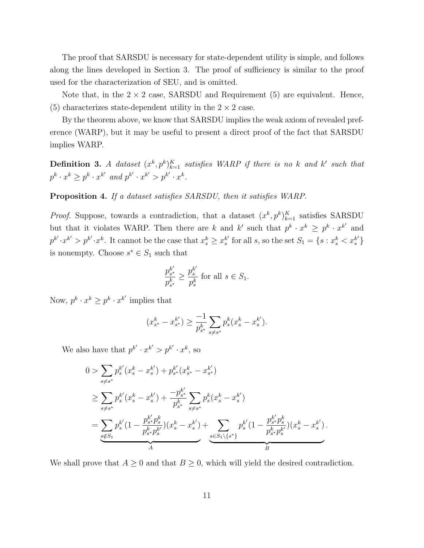The proof that SARSDU is necessary for state-dependent utility is simple, and follows along the lines developed in Section 3. The proof of sufficiency is similar to the proof used for the characterization of SEU, and is omitted.

Note that, in the  $2 \times 2$  case, SARSDU and Requirement (5) are equivalent. Hence, (5) characterizes state-dependent utility in the  $2 \times 2$  case.

By the theorem above, we know that SARSDU implies the weak axiom of revealed preference (WARP), but it may be useful to present a direct proof of the fact that SARSDU implies WARP.

**Definition 3.** A dataset  $(x^k, p^k)_{k=1}^K$  satisfies WARP if there is no k and k' such that  $p^k \cdot x^k \geq p^k \cdot x^{k'}$  and  $p^{k'} \cdot x^{k'} > p^{k'} \cdot x^k$ .

Proposition 4. If a dataset satisfies SARSDU, then it satisfies WARP.

*Proof.* Suppose, towards a contradiction, that a dataset  $(x^k, p^k)_{k=1}^K$  satisfies SARSDU but that it violates WARP. Then there are k and k' such that  $p^k \cdot x^k \geq p^k \cdot x^{k'}$  and  $p^{k'} \cdot x^{k'} > p^{k'} \cdot x^k$ . It cannot be the case that  $x_s^k \geq x_s^{k'}$  $s'$  for all s, so the set  $S_1 = \{s : x_s^k < x_s^{k'}\}$ is nonempty. Choose  $s^* \in S_1$  such that

$$
\frac{p_{s^*}^{k'}}{p_{s^*}^k} \ge \frac{p_s^{k'}}{p_s^k} \text{ for all } s \in S_1.
$$

Now,  $p^k \cdot x^k \geq p^k \cdot x^{k'}$  implies that

$$
(x_{s^*}^k - x_{s^*}^{k'}) \ge \frac{-1}{p_{s^*}^k} \sum_{s \ne s^*} p_s^k (x_s^k - x_s^{k'}).
$$

We also have that  $p^{k'} \cdot x^{k'} > p^{k'} \cdot x^k$ , so

$$
0 > \sum_{s \neq s^*} p_s^{k'} (x_s^k - x_s^{k'}) + p_{s^*}^{k'} (x_{s^*}^k - x_{s^*}^{k'})
$$
  
\n
$$
\geq \sum_{s \neq s^*} p_s^{k'} (x_s^k - x_s^{k'}) + \frac{-p_{s^*}^{k'}}{p_{s^*}^k} \sum_{s \neq s^*} p_s^k (x_s^k - x_s^{k'})
$$
  
\n
$$
= \sum_{s \notin S_1} p_s^{k'} (1 - \frac{p_{s^*}^{k'} p_s^k}{p_{s^*}^k p_s^{k'}}) (x_s^k - x_s^{k'}) + \sum_{s \in S_1 \setminus \{s^*\}} p_s^{k'} (1 - \frac{p_{s^*}^{k'} p_s^k}{p_{s^*}^k p_s^{k'}}) (x_s^k - x_s^{k'})
$$

We shall prove that  $A \geq 0$  and that  $B \geq 0$ , which will yield the desired contradiction.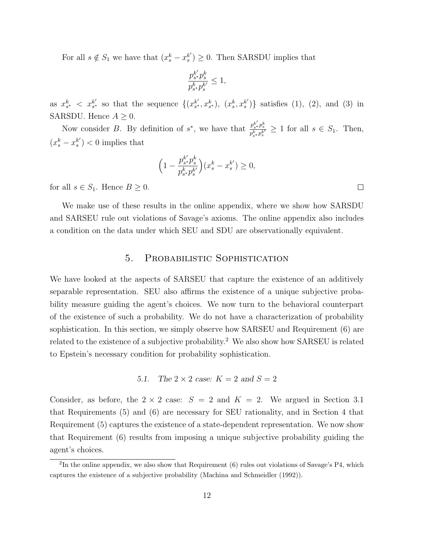For all  $s \notin S_1$  we have that  $(x_s^k - x_s^{k'})$  $s<sup>k'</sup>$ )  $\geq 0$ . Then SARSDU implies that

$$
\frac{p_{s^*}^{k'}p_s^k}{p_{s^*}^k p_s^{k'}} \leq 1,
$$

as  $x_{s^*}^k < x_{s^*}^{k'}$  $s^k$  so that the sequence  $\{(x_{s^*}^{k'})\}$  $s^k, x_{s^*}^k, \ldots, x_s^k$  $s'$ )} satisfies (1), (2), and (3) in SARSDU. Hence  $A \geq 0$ .

Now consider B. By definition of  $s^*$ , we have that  $\frac{p_{s}^{k'}p_{s}^{k}}{s^k-s^{k'}}$  $\frac{p_{s}*p_{s}}{p_{s}*p_{s}^k} \geq 1$  for all  $s \in S_1$ . Then,  $\left(x_s^k - x_s^{k'}\right)$  $s^{(k')'}$  < 0 implies that

$$
\Big(1-\frac{p_{s^*}^{k'}p_s^k}{p_{s^*}^{k}p_s^{k'}}\Big)(x_s^k-x_s^{k'})\geq 0,
$$

for all  $s \in S_1$ . Hence  $B \geq 0$ .

We make use of these results in the online appendix, where we show how SARSDU and SARSEU rule out violations of Savage's axioms. The online appendix also includes a condition on the data under which SEU and SDU are observationally equivalent.

# 5. Probabilistic Sophistication

We have looked at the aspects of SARSEU that capture the existence of an additively separable representation. SEU also affirms the existence of a unique subjective probability measure guiding the agent's choices. We now turn to the behavioral counterpart of the existence of such a probability. We do not have a characterization of probability sophistication. In this section, we simply observe how SARSEU and Requirement (6) are related to the existence of a subjective probability.<sup>2</sup> We also show how SARSEU is related to Epstein's necessary condition for probability sophistication.

5.1. The 
$$
2 \times 2
$$
 case:  $K = 2$  and  $S = 2$ 

Consider, as before, the  $2 \times 2$  case:  $S = 2$  and  $K = 2$ . We argued in Section 3.1 that Requirements (5) and (6) are necessary for SEU rationality, and in Section 4 that Requirement (5) captures the existence of a state-dependent representation. We now show that Requirement (6) results from imposing a unique subjective probability guiding the agent's choices.

 $\Box$ 

 ${}^{2}$ In the online appendix, we also show that Requirement (6) rules out violations of Savage's P4, which captures the existence of a subjective probability (Machina and Schmeidler (1992)).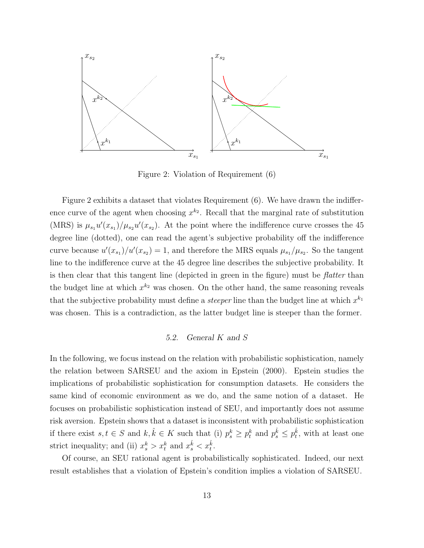

Figure 2: Violation of Requirement (6)

Figure 2 exhibits a dataset that violates Requirement (6). We have drawn the indifference curve of the agent when choosing  $x^{k_2}$ . Recall that the marginal rate of substitution (MRS) is  $\mu_{s_1} u'(x_{s_1})/\mu_{s_2} u'(x_{s_2})$ . At the point where the indifference curve crosses the 45 degree line (dotted), one can read the agent's subjective probability off the indifference curve because  $u'(x_{s_1})/u'(x_{s_2}) = 1$ , and therefore the MRS equals  $\mu_{s_1}/\mu_{s_2}$ . So the tangent line to the indifference curve at the 45 degree line describes the subjective probability. It is then clear that this tangent line (depicted in green in the figure) must be flatter than the budget line at which  $x^{k_2}$  was chosen. On the other hand, the same reasoning reveals that the subjective probability must define a *steeper* line than the budget line at which  $x^{k_1}$ was chosen. This is a contradiction, as the latter budget line is steeper than the former.

#### 5.2. General K and S

In the following, we focus instead on the relation with probabilistic sophistication, namely the relation between SARSEU and the axiom in Epstein (2000). Epstein studies the implications of probabilistic sophistication for consumption datasets. He considers the same kind of economic environment as we do, and the same notion of a dataset. He focuses on probabilistic sophistication instead of SEU, and importantly does not assume risk aversion. Epstein shows that a dataset is inconsistent with probabilistic sophistication if there exist  $s, t \in S$  and  $k, \hat{k} \in K$  such that (i)  $p_s^k \geq p_t^k$  and  $p_s^{\hat{k}} \leq p_t^{\hat{k}}$ , with at least one strict inequality; and (ii)  $x_s^k > x_t^k$  and  $x_s^{\hat{k}} < x_t^{\hat{k}}$ .

Of course, an SEU rational agent is probabilistically sophisticated. Indeed, our next result establishes that a violation of Epstein's condition implies a violation of SARSEU.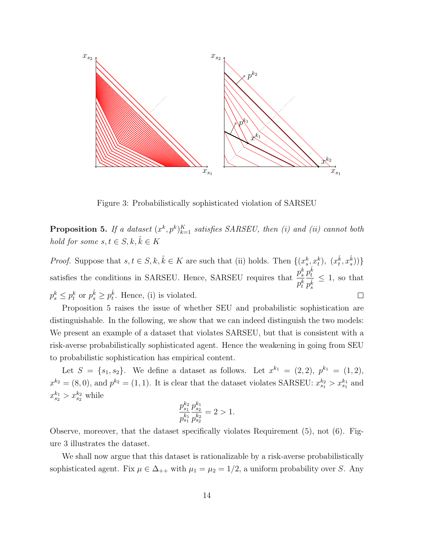

Figure 3: Probabilistically sophisticated violation of SARSEU

**Proposition 5.** If a dataset  $(x^k, p^k)_{k=1}^K$  satisfies SARSEU, then (i) and (ii) cannot both hold for some  $s, t \in S, k, \hat{k} \in K$ 

*Proof.* Suppose that  $s, t \in S, k, \hat{k} \in K$  are such that (ii) holds. Then  $\{(x_s^k, x_t^k), (x_t^{\hat{k}}, x_s^{\hat{k}})\}$  $p_t^{\hat k}$ satisfies the conditions in SARSEU. Hence, SARSEU requires that  $\frac{p_s^k}{k}$  $\leq 1$ , so that  $p_t^k$  $p_s^{\hat k}$  $p_s^k \leq p_t^k$  or  $p_s^{\hat{k}} \geq p_t^{\hat{k}}$ . Hence, (i) is violated.  $\Box$ 

Proposition 5 raises the issue of whether SEU and probabilistic sophistication are distinguishable. In the following, we show that we can indeed distinguish the two models: We present an example of a dataset that violates SARSEU, but that is consistent with a risk-averse probabilistically sophisticated agent. Hence the weakening in going from SEU to probabilistic sophistication has empirical content.

Let  $S = \{s_1, s_2\}$ . We define a dataset as follows. Let  $x^{k_1} = (2, 2), p^{k_1} = (1, 2),$  $x^{k_2} = (8,0)$ , and  $p^{k_2} = (1,1)$ . It is clear that the dataset violates SARSEU:  $x_{s_1}^{k_2} > x_{s_1}^{k_1}$  and  $x_{s_2}^{k_1} > x_{s_2}^{k_2}$  while

$$
\frac{p_{s_1}^{k_2}}{p_{s_1}^{k_1}} \frac{p_{s_2}^{k_1}}{p_{s_2}^{k_2}} = 2 > 1.
$$

Observe, moreover, that the dataset specifically violates Requirement (5), not (6). Figure 3 illustrates the dataset.

We shall now argue that this dataset is rationalizable by a risk-averse probabilistically sophisticated agent. Fix  $\mu \in \Delta_{++}$  with  $\mu_1 = \mu_2 = 1/2$ , a uniform probability over S. Any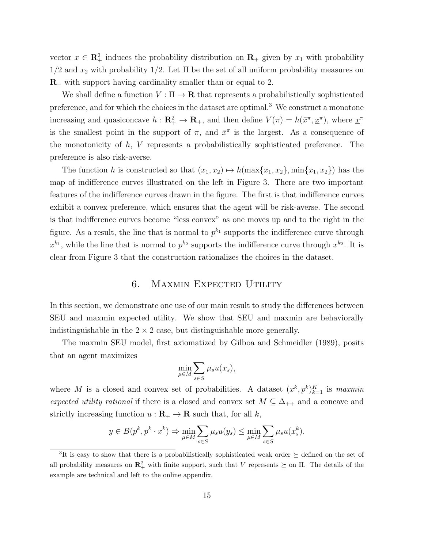vector  $x \in \mathbb{R}_+^2$  induces the probability distribution on  $\mathbb{R}_+$  given by  $x_1$  with probability  $1/2$  and  $x_2$  with probability  $1/2$ . Let  $\Pi$  be the set of all uniform probability measures on  $\mathbf{R}_{+}$  with support having cardinality smaller than or equal to 2.

We shall define a function  $V : \Pi \to \mathbf{R}$  that represents a probabilistically sophisticated preference, and for which the choices in the dataset are optimal.<sup>3</sup> We construct a monotone increasing and quasiconcave  $h: \mathbf{R}_{+}^{2} \to \mathbf{R}_{+}$ , and then define  $V(\pi) = h(\bar{x}^{\pi}, \underline{x}^{\pi})$ , where  $\underline{x}^{\pi}$ is the smallest point in the support of  $\pi$ , and  $\bar{x}^{\pi}$  is the largest. As a consequence of the monotonicity of  $h, V$  represents a probabilistically sophisticated preference. The preference is also risk-averse.

The function h is constructed so that  $(x_1, x_2) \mapsto h(\max\{x_1, x_2\}, \min\{x_1, x_2\})$  has the map of indifference curves illustrated on the left in Figure 3. There are two important features of the indifference curves drawn in the figure. The first is that indifference curves exhibit a convex preference, which ensures that the agent will be risk-averse. The second is that indifference curves become "less convex" as one moves up and to the right in the figure. As a result, the line that is normal to  $p^{k_1}$  supports the indifference curve through  $x^{k_1}$ , while the line that is normal to  $p^{k_2}$  supports the indifference curve through  $x^{k_2}$ . It is clear from Figure 3 that the construction rationalizes the choices in the dataset.

## 6. Maxmin Expected Utility

In this section, we demonstrate one use of our main result to study the differences between SEU and maxmin expected utility. We show that SEU and maxmin are behaviorally indistinguishable in the  $2 \times 2$  case, but distinguishable more generally.

The maxmin SEU model, first axiomatized by Gilboa and Schmeidler (1989), posits that an agent maximizes

$$
\min_{\mu \in M} \sum_{s \in S} \mu_s u(x_s),
$$

where M is a closed and convex set of probabilities. A dataset  $(x^k, p^k)_{k=1}^K$  is maxmin expected utility rational if there is a closed and convex set  $M \subseteq \Delta_{++}$  and a concave and strictly increasing function  $u : \mathbf{R}_{+} \to \mathbf{R}$  such that, for all k,

$$
y \in B(p^k, p^k \cdot x^k) \Rightarrow \min_{\mu \in M} \sum_{s \in S} \mu_s u(y_s) \le \min_{\mu \in M} \sum_{s \in S} \mu_s u(x_s^k).
$$

<sup>&</sup>lt;sup>3</sup>It is easy to show that there is a probabilistically sophisticated weak order  $\succeq$  defined on the set of all probability measures on  $\mathbb{R}^2_+$  with finite support, such that V represents  $\succeq$  on  $\Pi$ . The details of the example are technical and left to the online appendix.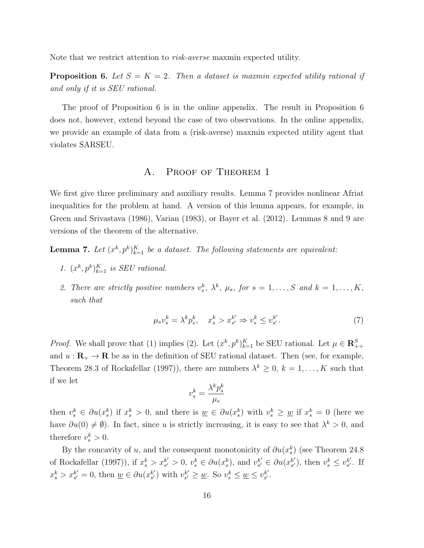Note that we restrict attention to risk-averse maxmin expected utility.

**Proposition 6.** Let  $S = K = 2$ . Then a dataset is maxmin expected utility rational if and only if it is SEU rational.

The proof of Proposition 6 is in the online appendix. The result in Proposition 6 does not, however, extend beyond the case of two observations. In the online appendix, we provide an example of data from a (risk-averse) maxmin expected utility agent that violates SARSEU.

# A. Proof of Theorem 1

We first give three preliminary and auxiliary results. Lemma 7 provides nonlinear Afriat inequalities for the problem at hand. A version of this lemma appears, for example, in Green and Srivastava (1986), Varian (1983), or Bayer et al. (2012). Lemmas 8 and 9 are versions of the theorem of the alternative.

**Lemma 7.** Let  $(x^k, p^k)_{k=1}^K$  be a dataset. The following statements are equivalent:

- 1.  $(x^k, p^k)_{k=1}^K$  is SEU rational.
- 2. There are strictly positive numbers  $v_s^k$ ,  $\lambda^k$ ,  $\mu_s$ , for  $s = 1, ..., S$  and  $k = 1, ..., K$ , such that

$$
\mu_s v_s^k = \lambda^k p_s^k, \quad x_s^k > x_{s'}^{k'} \Rightarrow v_s^k \le v_{s'}^{k'}.
$$
\n<sup>(7)</sup>

*Proof.* We shall prove that (1) implies (2). Let  $(x^k, p^k)_{k=1}^K$  be SEU rational. Let  $\mu \in \mathbb{R}^S_{++}$ and  $u : \mathbf{R}_{+} \to \mathbf{R}$  be as in the definition of SEU rational dataset. Then (see, for example, Theorem 28.3 of Rockafellar (1997)), there are numbers  $\lambda^k \geq 0$ ,  $k = 1, ..., K$  such that if we let

$$
v_s^k = \frac{\lambda^k p_s^k}{\mu_s}
$$

then  $v_s^k \in \partial u(x_s^k)$  if  $x_s^k > 0$ , and there is  $\underline{w} \in \partial u(x_s^k)$  with  $v_s^k \ge \underline{w}$  if  $x_s^k = 0$  (here we have  $\partial u(0) \neq \emptyset$ . In fact, since u is strictly increasing, it is easy to see that  $\lambda^k > 0$ , and therefore  $v_s^k > 0$ .

By the concavity of u, and the consequent monotonicity of  $\partial u(x_s^k)$  (see Theorem 24.8) of Rockafellar (1997)), if  $x_s^k > x_{s'}^{k'}$  $s' > 0, v_s^k \in \partial u(x_s^k)$ , and  $v_{s'}^{k'}$  $s' \in \partial u(x_{s'}^{k'})$  $s'_{s'}$ , then  $v_s^k \leq v_{s'}^{k'}$  $s'$ . If  $x_s^k > x_{s'}^{k'}$  $s'_{s'} = 0$ , then  $\underline{w} \in \partial u(x_{s'}^{k'})$  $s'$ ) with  $v_{s'}^{k'}$  $s' \geq \underline{w}$ . So  $v_s^k \leq \underline{w} \leq v_{s'}^{k'}$  $s'$  .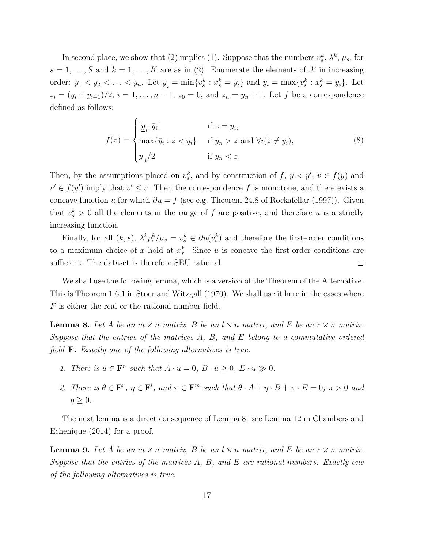In second place, we show that (2) implies (1). Suppose that the numbers  $v_s^k$ ,  $\lambda^k$ ,  $\mu_s$ , for  $s = 1, \ldots, S$  and  $k = 1, \ldots, K$  are as in (2). Enumerate the elements of X in increasing order:  $y_1 < y_2 < \ldots < y_n$ . Let  $\underline{y}_i = \min\{v_s^k : x_s^k = y_i\}$  and  $\bar{y}_i = \max\{v_s^k : x_s^k = y_i\}$ . Let  $z_i = (y_i + y_{i+1})/2, i = 1, ..., n-1; z_0 = 0, \text{ and } z_n = y_n + 1.$  Let f be a correspondence defined as follows:

$$
f(z) = \begin{cases} \left[\underline{y}_i, \bar{y}_i\right] & \text{if } z = y_i, \\ \max\{\bar{y}_i : z < y_i\} & \text{if } y_n > z \text{ and } \forall i (z \neq y_i), \\ \underline{y}_n/2 & \text{if } y_n < z. \end{cases} \tag{8}
$$

Then, by the assumptions placed on  $v_s^k$ , and by construction of  $f, y < y', v \in f(y)$  and  $v' \in f(y')$  imply that  $v' \leq v$ . Then the correspondence f is monotone, and there exists a concave function u for which  $\partial u = f$  (see e.g. Theorem 24.8 of Rockafellar (1997)). Given that  $v_s^k > 0$  all the elements in the range of f are positive, and therefore u is a strictly increasing function.

Finally, for all  $(k, s)$ ,  $\lambda^k p_s^k / \mu_s = v_s^k \in \partial u(v_s^k)$  and therefore the first-order conditions to a maximum choice of x hold at  $x_s^k$ . Since u is concave the first-order conditions are sufficient. The dataset is therefore SEU rational.  $\Box$ 

We shall use the following lemma, which is a version of the Theorem of the Alternative. This is Theorem 1.6.1 in Stoer and Witzgall (1970). We shall use it here in the cases where F is either the real or the rational number field.

**Lemma 8.** Let A be an  $m \times n$  matrix, B be an  $l \times n$  matrix, and E be an  $r \times n$  matrix. Suppose that the entries of the matrices  $A, B,$  and  $E$  belong to a commutative ordered field F. Exactly one of the following alternatives is true.

- 1. There is  $u \in \mathbf{F}^n$  such that  $A \cdot u = 0$ ,  $B \cdot u \ge 0$ ,  $E \cdot u \gg 0$ .
- 2. There is  $\theta \in \mathbf{F}^r$ ,  $\eta \in \mathbf{F}^l$ , and  $\pi \in \mathbf{F}^m$  such that  $\theta \cdot A + \eta \cdot B + \pi \cdot E = 0$ ;  $\pi > 0$  and  $\eta \geq 0$ .

The next lemma is a direct consequence of Lemma 8: see Lemma 12 in Chambers and Echenique (2014) for a proof.

**Lemma 9.** Let A be an  $m \times n$  matrix, B be an  $l \times n$  matrix, and E be an  $r \times n$  matrix. Suppose that the entries of the matrices  $A, B,$  and  $E$  are rational numbers. Exactly one of the following alternatives is true.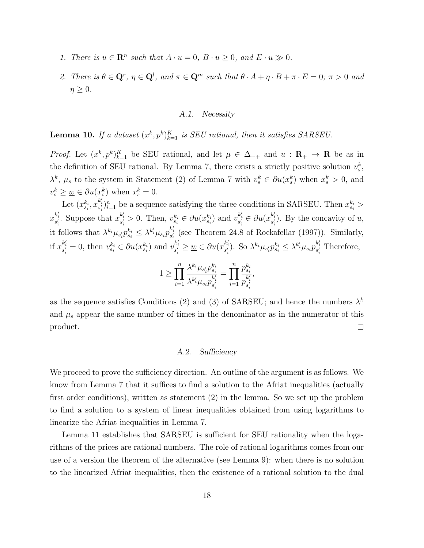- 1. There is  $u \in \mathbb{R}^n$  such that  $A \cdot u = 0$ ,  $B \cdot u \ge 0$ , and  $E \cdot u \gg 0$ .
- 2. There is  $\theta \in \mathbb{Q}^r$ ,  $\eta \in \mathbb{Q}^l$ , and  $\pi \in \mathbb{Q}^m$  such that  $\theta \cdot A + \eta \cdot B + \pi \cdot E = 0$ ;  $\pi > 0$  and  $\eta \geq 0$ .

#### A.1. Necessity

**Lemma 10.** If a dataset  $(x^k, p^k)_{k=1}^K$  is SEU rational, then it satisfies SARSEU.

*Proof.* Let  $(x^k, p^k)_{k=1}^K$  be SEU rational, and let  $\mu \in \Delta_{++}$  and  $u : \mathbf{R}_+ \to \mathbf{R}$  be as in the definition of SEU rational. By Lemma 7, there exists a strictly positive solution  $v_s^k$ ,  $\lambda^k$ ,  $\mu_s$  to the system in Statement (2) of Lemma 7 with  $v_s^k \in \partial u(x_s^k)$  when  $x_s^k > 0$ , and  $v_s^k \geq \underline{w} \in \partial u(x_s^k)$  when  $x_s^k = 0$ .

Let  $(x_{s_i}^{k_i}, x_{s'_i}^{k'_i})_{i=1}^n$  be a sequence satisfying the three conditions in SARSEU. Then  $x_{s_i}^{k_i}$  >  $x_{s'_i}^{k'_i}$ . Suppose that  $x_{s'_i}^{k'_i} > 0$ . Then,  $v_{s_i}^{k_i} \in \partial u(x_{s_i}^{k_i})$  and  $v_{s'_i}^{k'_i} \in \partial u(x_{s'_i}^{k'_i})$ . By the concavity of u, it follows that  $\lambda^{k_i}\mu_{s_i'}p_{s_i}^{k_i} \leq \lambda^{k_i'}\mu_{s_i}p_{s_i'}^{k_i'}$  (see Theorem 24.8 of Rockafellar (1997)). Similarly, if  $x_{s'_i}^{k'_i} = 0$ , then  $v_{s_i}^{k_i} \in \partial u(x_{s_i}^{k_i})$  and  $v_{s'_i}^{k'_i} \geq \underline{w} \in \partial u(x_{s'_i}^{k'_i})$ . So  $\lambda^{k_i} \mu_{s'_i} p_{s_i}^{k_i} \leq \lambda^{k'_i} \mu_{s_i} p_{s'_i}^{k'_i}$  Therefore,

$$
1 \geq \prod_{i=1}^n \frac{\lambda^{k_i} \mu_{s'_i} p_{s_i}^{k_i}}{\lambda^{k'_i} \mu_{s_i} p_{s'_i}^{k'_i}} = \prod_{i=1}^n \frac{p_{s_i}^{k_i}}{p_{s'_i}^{k'_i}},
$$

as the sequence satisfies Conditions (2) and (3) of SARSEU; and hence the numbers  $\lambda^k$ and  $\mu_s$  appear the same number of times in the denominator as in the numerator of this product.  $\Box$ 

#### A.2. Sufficiency

We proceed to prove the sufficiency direction. An outline of the argument is as follows. We know from Lemma 7 that it suffices to find a solution to the Afriat inequalities (actually first order conditions), written as statement (2) in the lemma. So we set up the problem to find a solution to a system of linear inequalities obtained from using logarithms to linearize the Afriat inequalities in Lemma 7.

Lemma 11 establishes that SARSEU is sufficient for SEU rationality when the logarithms of the prices are rational numbers. The role of rational logarithms comes from our use of a version the theorem of the alternative (see Lemma 9): when there is no solution to the linearized Afriat inequalities, then the existence of a rational solution to the dual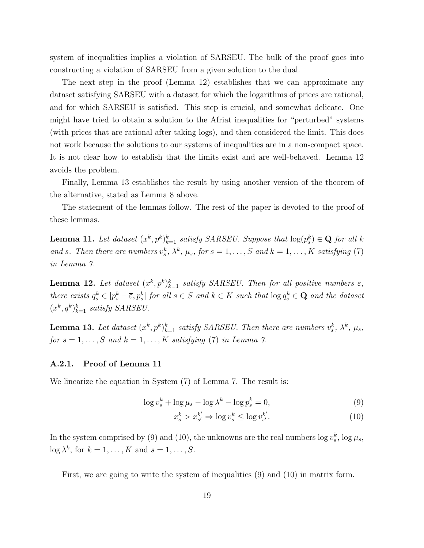system of inequalities implies a violation of SARSEU. The bulk of the proof goes into constructing a violation of SARSEU from a given solution to the dual.

The next step in the proof (Lemma 12) establishes that we can approximate any dataset satisfying SARSEU with a dataset for which the logarithms of prices are rational, and for which SARSEU is satisfied. This step is crucial, and somewhat delicate. One might have tried to obtain a solution to the Afriat inequalities for "perturbed" systems (with prices that are rational after taking logs), and then considered the limit. This does not work because the solutions to our systems of inequalities are in a non-compact space. It is not clear how to establish that the limits exist and are well-behaved. Lemma 12 avoids the problem.

Finally, Lemma 13 establishes the result by using another version of the theorem of the alternative, stated as Lemma 8 above.

The statement of the lemmas follow. The rest of the paper is devoted to the proof of these lemmas.

**Lemma 11.** Let dataset  $(x^k, p^k)_{k=1}^k$  satisfy SARSEU. Suppose that  $\log(p_s^k) \in \mathbf{Q}$  for all k and s. Then there are numbers  $v_s^k$ ,  $\lambda^k$ ,  $\mu_s$ , for  $s = 1, \ldots, S$  and  $k = 1, \ldots, K$  satisfying (7) in Lemma 7.

**Lemma 12.** Let dataset  $(x^k, p^k)_{k=1}^k$  satisfy SARSEU. Then for all positive numbers  $\overline{\epsilon}$ , there exists  $q_s^k \in [p_s^k - \overline{\varepsilon}, p_s^k]$  for all  $s \in S$  and  $k \in K$  such that  $\log q_s^k \in \mathbf{Q}$  and the dataset  $(x^k, q^k)_{k=1}^k$  satisfy SARSEU.

**Lemma 13.** Let dataset  $(x^k, p^k)_{k=1}^k$  satisfy SARSEU. Then there are numbers  $v_s^k$ ,  $\lambda^k$ ,  $\mu_s$ , for  $s = 1, \ldots, S$  and  $k = 1, \ldots, K$  satisfying (7) in Lemma 7.

#### A.2.1. Proof of Lemma 11

We linearize the equation in System (7) of Lemma 7. The result is:

$$
\log v_s^k + \log \mu_s - \log \lambda^k - \log p_s^k = 0,\tag{9}
$$

$$
x_s^k > x_{s'}^{k'} \Rightarrow \log v_s^k \le \log v_{s'}^{k'}.
$$
\n
$$
(10)
$$

In the system comprised by (9) and (10), the unknowns are the real numbers  $\log v_s^k$ ,  $\log \mu_s$ ,  $\log \lambda^k$ , for  $k = 1, \ldots, K$  and  $s = 1, \ldots, S$ .

First, we are going to write the system of inequalities (9) and (10) in matrix form.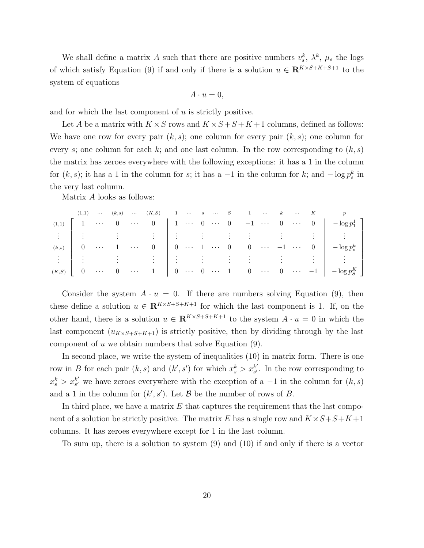We shall define a matrix A such that there are positive numbers  $v_s^k$ ,  $\lambda^k$ ,  $\mu_s$  the logs of which satisfy Equation (9) if and only if there is a solution  $u \in \mathbb{R}^{K \times S + K + S + 1}$  to the system of equations

$$
A \cdot u = 0,
$$

and for which the last component of u is strictly positive.

Let A be a matrix with  $K \times S$  rows and  $K \times S + S + K + 1$  columns, defined as follows: We have one row for every pair  $(k, s)$ ; one column for every pair  $(k, s)$ ; one column for every s; one column for each k; and one last column. In the row corresponding to  $(k, s)$ the matrix has zeroes everywhere with the following exceptions: it has a 1 in the column for  $(k, s)$ ; it has a 1 in the column for s; it has a -1 in the column for k; and  $-\log p_s^k$  in the very last column.

Matrix A looks as follows:

|                    | (1,1)          |                              |                |                                                                                   |  |  |  |  |  | $\cdots \qquad (k,s) \quad \cdots \qquad (K,S) \qquad \  \, 1 \quad \, \cdots \qquad s \quad \, \cdots \qquad S \qquad \quad \  \, 1 \qquad \cdots \qquad k \qquad \cdots \qquad K \qquad \qquad p$                         |
|--------------------|----------------|------------------------------|----------------|-----------------------------------------------------------------------------------|--|--|--|--|--|-----------------------------------------------------------------------------------------------------------------------------------------------------------------------------------------------------------------------------|
| (1,1)              | $\vert$ 1      | $\sim$ 4.4 $\pm$             | $\overline{0}$ |                                                                                   |  |  |  |  |  | $\cdots$ 0 1 $\cdots$ 0 $\cdots$ 0 $-1$ $\cdots$ 0 $\cdots$ 0 $-log p_1^1$                                                                                                                                                  |
|                    |                |                              |                |                                                                                   |  |  |  |  |  |                                                                                                                                                                                                                             |
| (k,s)              | $\overline{0}$ | $\langle\,\cdot\, \rangle$ . |                |                                                                                   |  |  |  |  |  | $1 \quad \cdots \quad 0 \quad \left  \begin{array}{ccc} 0 & \cdots & 1 & \cdots & 0 \end{array} \right  \quad 0 \quad \cdots \quad -1 \quad \cdots \quad 0 \quad \left  \begin{array}{ccc} -\log p^k_s \end{array} \right $ |
| $\frac{1}{2}$      |                |                              |                |                                                                                   |  |  |  |  |  |                                                                                                                                                                                                                             |
| $(K,S)$ 0 $\cdots$ |                |                              |                | $\begin{array}{ccccccc} 0 & \cdots & 1 & 0 & \cdots & 0 & \cdots & 1 \end{array}$ |  |  |  |  |  | $\begin{vmatrix} 0 & \cdots & 0 & \cdots & -1 \end{vmatrix}$ $-\log p_S^K$                                                                                                                                                  |

Consider the system  $A \cdot u = 0$ . If there are numbers solving Equation (9), then these define a solution  $u \in \mathbb{R}^{K \times S + S + K + 1}$  for which the last component is 1. If, on the other hand, there is a solution  $u \in \mathbb{R}^{K \times S + S + K + 1}$  to the system  $A \cdot u = 0$  in which the last component  $(u_{K\times S+S+K+1})$  is strictly positive, then by dividing through by the last component of  $u$  we obtain numbers that solve Equation  $(9)$ .

In second place, we write the system of inequalities (10) in matrix form. There is one row in B for each pair  $(k, s)$  and  $(k', s')$  for which  $x_s^k > x_{s'}^{k'}$  $s'$ . In the row corresponding to  $x_s^k > x_{s'}^{k'}$  $s'$  we have zeroes everywhere with the exception of a  $-1$  in the column for  $(k, s)$ and a 1 in the column for  $(k', s')$ . Let B be the number of rows of B.

In third place, we have a matrix  $E$  that captures the requirement that the last component of a solution be strictly positive. The matrix E has a single row and  $K \times S + S + K + 1$ columns. It has zeroes everywhere except for 1 in the last column.

To sum up, there is a solution to system (9) and (10) if and only if there is a vector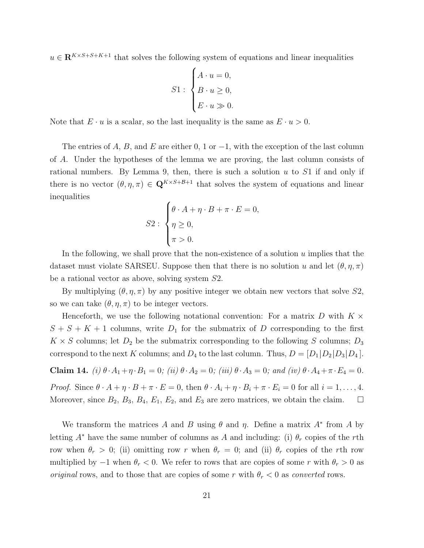$u \in \mathbb{R}^{K \times S + S + K + 1}$  that solves the following system of equations and linear inequalities

$$
S1: \begin{cases} A \cdot u = 0, \\ B \cdot u \ge 0, \\ E \cdot u \gg 0. \end{cases}
$$

Note that  $E \cdot u$  is a scalar, so the last inequality is the same as  $E \cdot u > 0$ .

The entries of A, B, and E are either 0, 1 or  $-1$ , with the exception of the last column of A. Under the hypotheses of the lemma we are proving, the last column consists of rational numbers. By Lemma 9, then, there is such a solution  $u$  to  $S1$  if and only if there is no vector  $(\theta, \eta, \pi) \in \mathbf{Q}^{K \times S + \mathcal{B}+1}$  that solves the system of equations and linear inequalities

$$
S2: \begin{cases} \theta \cdot A + \eta \cdot B + \pi \cdot E = 0, \\ \eta \ge 0, \\ \pi > 0. \end{cases}
$$

In the following, we shall prove that the non-existence of a solution  $u$  implies that the dataset must violate SARSEU. Suppose then that there is no solution u and let  $(\theta, \eta, \pi)$ be a rational vector as above, solving system S2.

By multiplying  $(\theta, \eta, \pi)$  by any positive integer we obtain new vectors that solve  $S2$ , so we can take  $(\theta, \eta, \pi)$  to be integer vectors.

Henceforth, we use the following notational convention: For a matrix D with  $K \times$  $S + S + K + 1$  columns, write  $D_1$  for the submatrix of D corresponding to the first  $K \times S$  columns; let  $D_2$  be the submatrix corresponding to the following S columns;  $D_3$ correspond to the next K columns; and  $D_4$  to the last column. Thus,  $D = [D_1 | D_2 | D_3 | D_4]$ .

**Claim 14.** (i) 
$$
\theta \cdot A_1 + \eta \cdot B_1 = 0
$$
; (ii)  $\theta \cdot A_2 = 0$ ; (iii)  $\theta \cdot A_3 = 0$ ; and (iv)  $\theta \cdot A_4 + \pi \cdot E_4 = 0$ .

*Proof.* Since  $\theta \cdot A + \eta \cdot B + \pi \cdot E = 0$ , then  $\theta \cdot A_i + \eta \cdot B_i + \pi \cdot E_i = 0$  for all  $i = 1, \ldots, 4$ . Moreover, since  $B_2$ ,  $B_3$ ,  $B_4$ ,  $E_1$ ,  $E_2$ , and  $E_3$  are zero matrices, we obtain the claim.  $\Box$ 

We transform the matrices A and B using  $\theta$  and  $\eta$ . Define a matrix  $A^*$  from A by letting  $A^*$  have the same number of columns as A and including: (i)  $\theta_r$  copies of the rth row when  $\theta_r > 0$ ; (ii) omitting row r when  $\theta_r = 0$ ; and (ii)  $\theta_r$  copies of the rth row multiplied by  $-1$  when  $\theta_r < 0$ . We refer to rows that are copies of some r with  $\theta_r > 0$  as *original* rows, and to those that are copies of some r with  $\theta_r < 0$  as *converted* rows.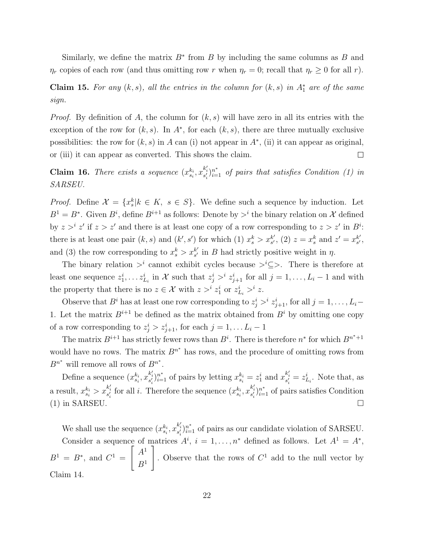Similarly, we define the matrix  $B^*$  from B by including the same columns as B and  $\eta_r$  copies of each row (and thus omitting row r when  $\eta_r = 0$ ; recall that  $\eta_r \geq 0$  for all r).

**Claim 15.** For any  $(k, s)$ , all the entries in the column for  $(k, s)$  in  $A_1^*$  are of the same sign.

*Proof.* By definition of A, the column for  $(k, s)$  will have zero in all its entries with the exception of the row for  $(k, s)$ . In  $A^*$ , for each  $(k, s)$ , there are three mutually exclusive possibilities: the row for  $(k, s)$  in A can (i) not appear in  $A^*$ , (ii) it can appear as original, or (iii) it can appear as converted. This shows the claim.  $\Box$ 

**Claim 16.** There exists a sequence  $(x_{s_i}^{k_i}, x_{s'_i}^{k'_i})_{i=1}^{n*}$  of pairs that satisfies Condition (1) in SARSEU.

*Proof.* Define  $\mathcal{X} = \{x_s^k | k \in K, s \in S\}$ . We define such a sequence by induction. Let  $B^1 = B^*$ . Given  $B^i$ , define  $B^{i+1}$  as follows: Denote by  $>^i$  the binary relation on X defined by  $z > i' z'$  if  $z > z'$  and there is at least one copy of a row corresponding to  $z > z'$  in  $B^i$ . there is at least one pair  $(k, s)$  and  $(k', s')$  for which (1)  $x_s^k > x_{s'}^{k'}$  $s'$ , (2)  $z = x_s^k$  and  $z' = x_{s'}^{k'}$  $s'$ , and (3) the row corresponding to  $x_s^k > x_{s'}^{k'}$  $s'_{s'}$  in B had strictly positive weight in  $\eta$ .

The binary relation  $\geq^i$  cannot exhibit cycles because  $\geq^i \subseteq \geq$ . There is therefore at least one sequence  $z_1^i, \ldots z_{L_i}^i$  in X such that  $z_j^i >^i z_{j+1}^i$  for all  $j = 1, \ldots, L_i - 1$  and with the property that there is no  $z \in \mathcal{X}$  with  $z >^i z_1^i$  or  $z_{L_i}^i >^i z$ .

Observe that  $B^i$  has at least one row corresponding to  $z_j^i > i z_{j+1}^i$ , for all  $j = 1, \ldots, L_i$ 1. Let the matrix  $B^{i+1}$  be defined as the matrix obtained from  $B^i$  by omitting one copy of a row corresponding to  $z_j^i > z_{j+1}^i$ , for each  $j = 1, \ldots L_i - 1$ 

The matrix  $B^{i+1}$  has strictly fewer rows than  $B^i$ . There is therefore  $n^*$  for which  $B^{n^*+1}$ would have no rows. The matrix  $B^{n^*}$  has rows, and the procedure of omitting rows from  $B^{n^*}$  will remove all rows of  $B^{n^*}$ .

Define a sequence  $(x_{s_i}^{k_i}, x_{s'_i}^{k'_i})_{i=1}^{n^*}$  of pairs by letting  $x_{s_i}^{k_i} = z_1^i$  and  $x_{s'_i}^{k'_i} = z_{L_i}^i$ . Note that, as a result,  $x_{s_i}^{k_i} > x_{s_i'}^{k_i'}$  for all i. Therefore the sequence  $(x_{s_i}^{k_i}, x_{s_i'}^{k_i'})_{i=1}^{n^*}$  of pairs satisfies Condition (1) in SARSEU.

We shall use the sequence  $(x_{s_i}^{k_i}, x_{s'_i}^{k'_i})_{i=1}^{n^*}$  of pairs as our candidate violation of SARSEU. Consider a sequence of matrices  $A^i$ ,  $i = 1, ..., n^*$  defined as follows. Let  $A^1 = A^*$ ,  $B^1 = B^*$ , and  $C^1 =$  $\int A^1$  $B^1$ 1 . Observe that the rows of  $C<sup>1</sup>$  add to the null vector by Claim 14.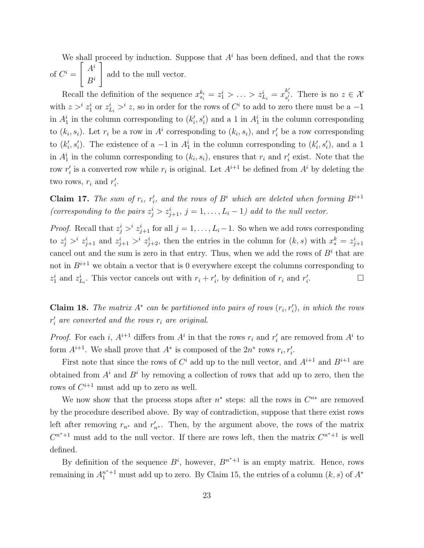We shall proceed by induction. Suppose that  $A<sup>i</sup>$  has been defined, and that the rows of  $C^i$  =  $\int A^i$  $B^i$ 1 add to the null vector.

Recall the definition of the sequence  $x_{s_i}^{k_i} = z_1^i > \ldots > z_{L_i}^i = x_{s_i}^{k_i}$ . There is no  $z \in \mathcal{X}$ with  $z > i$   $z_1^i$  or  $z_{L_i}^i > i$  z, so in order for the rows of  $C^i$  to add to zero there must be a -1 in  $A_1^i$  in the column corresponding to  $(k'_i, s'_i)$  and a 1 in  $A_1^i$  in the column corresponding to  $(k_i, s_i)$ . Let  $r_i$  be a row in  $A^i$  corresponding to  $(k_i, s_i)$ , and  $r'_i$  be a row corresponding to  $(k'_i, s'_i)$ . The existence of a -1 in  $A_1^i$  in the column corresponding to  $(k'_i, s'_i)$ , and a 1 in  $A_1^i$  in the column corresponding to  $(k_i, s_i)$ , ensures that  $r_i$  and  $r'_i$  exist. Note that the row  $r_i'$  is a converted row while  $r_i$  is original. Let  $A^{i+1}$  be defined from  $A^i$  by deleting the two rows,  $r_i$  and  $r'_i$ .

**Claim 17.** The sum of  $r_i$ ,  $r'_i$ , and the rows of  $B^i$  which are deleted when forming  $B^{i+1}$ (corresponding to the pairs  $z_j^i > z_{j+1}^i$ ,  $j = 1, ..., L_i - 1$ ) add to the null vector.

*Proof.* Recall that  $z_j^i > i$   $z_{j+1}^i$  for all  $j = 1, \ldots, L_i-1$ . So when we add rows corresponding to  $z_j^i >^i z_{j+1}^i$  and  $z_{j+1}^i >^i z_{j+2}^i$ , then the entries in the column for  $(k, s)$  with  $x_s^k = z_{j+1}^i$ cancel out and the sum is zero in that entry. Thus, when we add the rows of  $B<sup>i</sup>$  that are not in  $B^{i+1}$  we obtain a vector that is 0 everywhere except the columns corresponding to  $z_1^i$  and  $z_{L_i}^i$ . This vector cancels out with  $r_i + r'_i$ , by definition of  $r_i$  and  $r'_i$ . — П

**Claim 18.** The matrix  $A^*$  can be partitioned into pairs of rows  $(r_i, r'_i)$ , in which the rows  $r_i'$  are converted and the rows  $r_i$  are original.

*Proof.* For each i,  $A^{i+1}$  differs from  $A^i$  in that the rows  $r_i$  and  $r'_i$  are removed from  $A^i$  to form  $A^{i+1}$ . We shall prove that  $A^*$  is composed of the  $2n^*$  rows  $r_i, r'_i$ .

First note that since the rows of  $C^i$  add up to the null vector, and  $A^{i+1}$  and  $B^{i+1}$  are obtained from  $A^i$  and  $B^i$  by removing a collection of rows that add up to zero, then the rows of  $C^{i+1}$  must add up to zero as well.

We now show that the process stops after  $n^*$  steps: all the rows in  $C^{n*}$  are removed by the procedure described above. By way of contradiction, suppose that there exist rows left after removing  $r_{n^*}$  and  $r'_{n^*}$ . Then, by the argument above, the rows of the matrix  $C^{n^*+1}$  must add to the null vector. If there are rows left, then the matrix  $C^{n^*+1}$  is well defined.

By definition of the sequence  $B^i$ , however,  $B^{n^*+1}$  is an empty matrix. Hence, rows remaining in  $A_1^{n^*+1}$  must add up to zero. By Claim 15, the entries of a column  $(k, s)$  of  $A^*$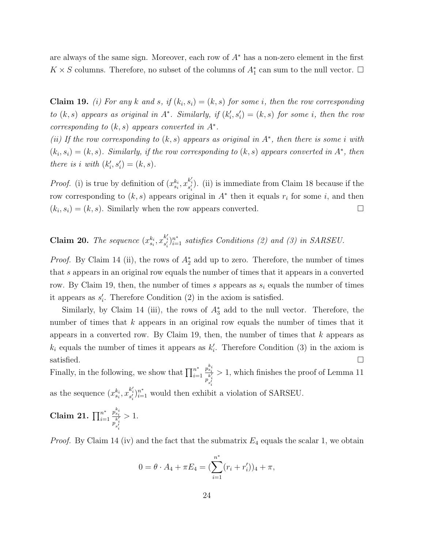are always of the same sign. Moreover, each row of  $A^*$  has a non-zero element in the first  $K \times S$  columns. Therefore, no subset of the columns of  $A_1^*$  can sum to the null vector.  $\Box$ 

**Claim 19.** (i) For any k and s, if  $(k_i, s_i) = (k, s)$  for some i, then the row corresponding to  $(k, s)$  appears as original in  $A^*$ . Similarly, if  $(k'_i, s'_i) = (k, s)$  for some i, then the row corresponding to  $(k, s)$  appears converted in  $A^*$ .

(ii) If the row corresponding to  $(k, s)$  appears as original in  $A^*$ , then there is some i with  $(k_i, s_i) = (k, s)$ . Similarly, if the row corresponding to  $(k, s)$  appears converted in  $A^*$ , then there is i with  $(k_i', s_i') = (k, s)$ .

*Proof.* (i) is true by definition of  $(x_{s_i}^{k_i}, x_{s'_i}^{k'_i})$ . (ii) is immediate from Claim 18 because if the row corresponding to  $(k, s)$  appears original in  $A^*$  then it equals  $r_i$  for some i, and then  $(k_i, s_i) = (k, s)$ . Similarly when the row appears converted.

**Claim 20.** The sequence  $(x_{s_i}^{k_i}, x_{s'_i}^{k'_i})_{i=1}^{n^*}$  satisfies Conditions (2) and (3) in SARSEU.

*Proof.* By Claim 14 (ii), the rows of  $A_2^*$  add up to zero. Therefore, the number of times that s appears in an original row equals the number of times that it appears in a converted row. By Claim 19, then, the number of times s appears as  $s_i$  equals the number of times it appears as  $s_i'$ . Therefore Condition  $(2)$  in the axiom is satisfied.

Similarly, by Claim 14 (iii), the rows of  $A_3^*$  add to the null vector. Therefore, the number of times that  $k$  appears in an original row equals the number of times that it appears in a converted row. By Claim 19, then, the number of times that  $k$  appears as  $k_i$  equals the number of times it appears as  $k'_i$ . Therefore Condition (3) in the axiom is satisfied.  $\Box$ 

Finally, in the following, we show that  $\prod_{i=1}^{n^*}$  $i=1$  $p_{s_i}^{k_i}$  $\overline{p}_{s'_i}^{k'_i}$ i > 1, which finishes the proof of Lemma 11 as the sequence  $(x_{s_i}^{k_i}, x_{s'_i}^{k'_i})_{i=1}^{n^*}$  would then exhibit a violation of SARSEU.

Claim 21. 
$$
\prod_{i=1}^{n^*} \frac{p_{s_i}^{k_i}}{p_{s'_i}^{k'_i}} > 1.
$$

*Proof.* By Claim 14 (iv) and the fact that the submatrix  $E_4$  equals the scalar 1, we obtain

$$
0 = \theta \cdot A_4 + \pi E_4 = \left(\sum_{i=1}^{n^*} (r_i + r'_i)\right)_4 + \pi,
$$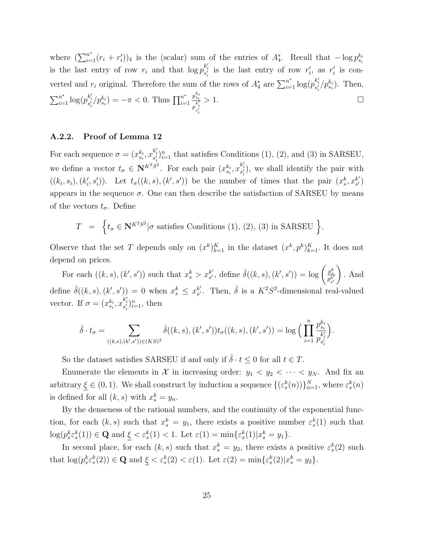where  $(\sum_{i=1}^{n^*}(r_i + r'_i))_4$  is the (scalar) sum of the entries of  $A_4^*$ . Recall that  $-\log p_{s_i}^{k_i}$ is the last entry of row  $r_i$  and that  $\log p_{s'_i}^{k'_i}$  is the last entry of row  $r'_i$ , as  $r'_i$  is converted and  $r_i$  original. Therefore the sum of the rows of  $A_4^*$  are  $\sum_{i=1}^{n^*} \log(p_{s'_i}^{k'_i}/p_{s_i}^{k_i})$ . Then,  $\sum_{i=1}^{n^*} \log(p_{s'_i}^{k'_i}/p_{s_i}^{k_i}) = -\pi < 0$ . Thus  $\prod_{i=1}^{n^*}$  $i=1$  $p_{s_{\bm{i}}}^{k_{\bm{i}}}$  $\overline{p}_{s'_i}^{k'_i}$ i  $> 1.$ 

## A.2.2. Proof of Lemma 12

For each sequence  $\sigma = (x_{s_i}^{k_i}, x_{s'_i}^{k'_i})_{i=1}^n$  that satisfies Conditions (1), (2), and (3) in SARSEU, we define a vector  $t_{\sigma} \in \mathbb{N}^{K^2S^2}$ . For each pair  $(x_{s_i}^{k_i}, x_{s'_i}^{k'_i})$ , we shall identify the pair with  $((k_i, s_i), (k'_i, s'_i))$ . Let  $t_\sigma((k, s), (k', s'))$  be the number of times that the pair  $(x_s^k, x_{s'}^{k'})$  $_{s^{\prime }}^{k^{\prime }})$ appears in the sequence  $\sigma$ . One can then describe the satisfaction of SARSEU by means of the vectors  $t_{\sigma}$ . Define

$$
T = \left\{ t_{\sigma} \in \mathbf{N}^{K^2 S^2} | \sigma \text{ satisfies Conditions (1), (2), (3) in SARSEU } \right\}
$$

Observe that the set T depends only on  $(x^k)_{k=1}^K$  in the dataset  $(x^k, p^k)_{k=1}^K$ . It does not depend on prices.

.

For each  $((k, s), (k', s'))$  such that  $x_s^k > x_{s'}^{k'}$  $s'$ , define  $\hat{\delta}((k, s), (k', s')) = \log \left( \frac{p_s^k}{p_{s'}^{k'}} \right)$  $\setminus$ . And define  $\hat{\delta}((k, s), (k', s')) = 0$  when  $x_s^k \leq x_{s'}^{k'}$  $s'.$  Then,  $\hat{\delta}$  is a  $K^2S^2$ -dimensional real-valued vector. If  $\sigma = (x_{s_i}^{k_i}, x_{s'_i}^{k'_i})_{i=1}^n$ , then

$$
\hat{\delta} \cdot t_{\sigma} = \sum_{((k,s),(k',s')) \in (KS)^2} \hat{\delta}((k,s),(k',s')) t_{\sigma}((k,s),(k',s')) = \log \Big( \prod_{i=1}^n \frac{p_{s_i}^{k_i}}{p_{s'_i}^{k'_i}} \Big).
$$

So the dataset satisfies SARSEU if and only if  $\hat{\delta} \cdot t \leq 0$  for all  $t \in T$ .

Enumerate the elements in X in increasing order:  $y_1 < y_2 < \cdots < y_N$ . And fix an arbitrary  $\xi \in (0,1)$ . We shall construct by induction a sequence  $\{(\varepsilon_s^k(n))\}_{n=1}^N$ , where  $\varepsilon_s^k(n)$ is defined for all  $(k, s)$  with  $x_s^k = y_n$ .

By the denseness of the rational numbers, and the continuity of the exponential function, for each  $(k, s)$  such that  $x_s^k = y_1$ , there exists a positive number  $\varepsilon_s^k(1)$  such that  $\log(p_s^k \varepsilon_s^k(1)) \in \mathbf{Q}$  and  $\underline{\xi} < \varepsilon_s^k(1) < 1$ . Let  $\varepsilon(1) = \min{\varepsilon_s^k(1)|x_s^k = y_1}.$ 

In second place, for each  $(k, s)$  such that  $x_s^k = y_2$ , there exists a positive  $\varepsilon_s^k(2)$  such that  $\log(p_s^k \varepsilon_s^k(2)) \in \mathbf{Q}$  and  $\underline{\xi} < \varepsilon_s^k(2) < \varepsilon(1)$ . Let  $\varepsilon(2) = \min\{\varepsilon_s^k(2)|x_s^k = y_2\}$ .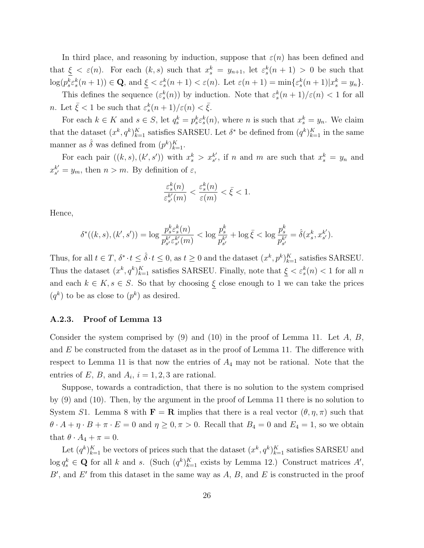In third place, and reasoning by induction, suppose that  $\varepsilon(n)$  has been defined and that  $\xi < \varepsilon(n)$ . For each  $(k, s)$  such that  $x_s^k = y_{n+1}$ , let  $\varepsilon_s^k(n+1) > 0$  be such that  $\log(p_s^k \varepsilon_s^k(n+1)) \in \mathbf{Q}$ , and  $\underline{\xi} < \varepsilon_s^k(n+1) < \varepsilon(n)$ . Let  $\varepsilon(n+1) = \min\{\varepsilon_s^k(n+1)|x_s^k = y_n\}$ .

This defines the sequence  $(\varepsilon_s^k(n))$  by induction. Note that  $\varepsilon_s^k(n+1)/\varepsilon(n) < 1$  for all *n*. Let  $\bar{\xi} < 1$  be such that  $\varepsilon_s^k(n+1)/\varepsilon(n) < \bar{\xi}$ .

For each  $k \in K$  and  $s \in S$ , let  $q_s^k = p_s^k \varepsilon_s^k(n)$ , where n is such that  $x_s^k = y_n$ . We claim that the dataset  $(x^k, q^k)_{k=1}^K$  satisfies SARSEU. Let  $\delta^*$  be defined from  $(q^k)_{k=1}^K$  in the same manner as  $\hat{\delta}$  was defined from  $(p^k)_{k=1}^K$ .

For each pair  $((k, s), (k', s'))$  with  $x_s^k > x_{s'}^{k'}$  $s'$ , if n and m are such that  $x_s^k = y_n$  and  $x_{s'}^{k'}$  $s'_{s'} = y_m$ , then  $n > m$ . By definition of  $\varepsilon$ ,

$$
\frac{\varepsilon_s^k(n)}{\varepsilon_{s'}^{k'}(m)} < \frac{\varepsilon_s^k(n)}{\varepsilon(m)} < \bar{\xi} < 1.
$$

Hence,

$$
\delta^*((k, s), (k', s')) = \log \frac{p_s^k \varepsilon_s^k(n)}{p_{s'}^{k'} \varepsilon_{s'}^{k'}(m)} < \log \frac{p_s^k}{p_{s'}^{k'}} + \log \bar{\xi} < \log \frac{p_s^k}{p_{s'}^{k'}} = \hat{\delta}(x_s^k, x_{s'}^{k'}).
$$

Thus, for all  $t \in T$ ,  $\delta^* \cdot t \leq \hat{\delta} \cdot t \leq 0$ , as  $t \geq 0$  and the dataset  $(x^k, p^k)_{k=1}^K$  satisfies SARSEU. Thus the dataset  $(x^k, q^k)_{k=1}^K$  satisfies SARSEU. Finally, note that  $\xi < \varepsilon_s^k(n) < 1$  for all n and each  $k \in K$ ,  $s \in S$ . So that by choosing  $\underline{\xi}$  close enough to 1 we can take the prices  $(q^k)$  to be as close to  $(p^k)$  as desired.

#### A.2.3. Proof of Lemma 13

Consider the system comprised by  $(9)$  and  $(10)$  in the proof of Lemma 11. Let A, B, and  $E$  be constructed from the dataset as in the proof of Lemma 11. The difference with respect to Lemma 11 is that now the entries of  $A_4$  may not be rational. Note that the entries of E, B, and  $A_i$ ,  $i = 1, 2, 3$  are rational.

Suppose, towards a contradiction, that there is no solution to the system comprised by (9) and (10). Then, by the argument in the proof of Lemma 11 there is no solution to System S1. Lemma 8 with  $\mathbf{F} = \mathbf{R}$  implies that there is a real vector  $(\theta, \eta, \pi)$  such that  $\theta \cdot A + \eta \cdot B + \pi \cdot E = 0$  and  $\eta \geq 0, \pi > 0$ . Recall that  $B_4 = 0$  and  $E_4 = 1$ , so we obtain that  $\theta \cdot A_4 + \pi = 0$ .

Let  $(q^k)_{k=1}^K$  be vectors of prices such that the dataset  $(x^k, q^k)_{k=1}^K$  satisfies SARSEU and  $\log q_s^k \in \mathbf{Q}$  for all k and s. (Such  $(q^k)_{k=1}^K$  exists by Lemma 12.) Construct matrices  $A'$ ,  $B'$ , and  $E'$  from this dataset in the same way as  $A, B$ , and  $E$  is constructed in the proof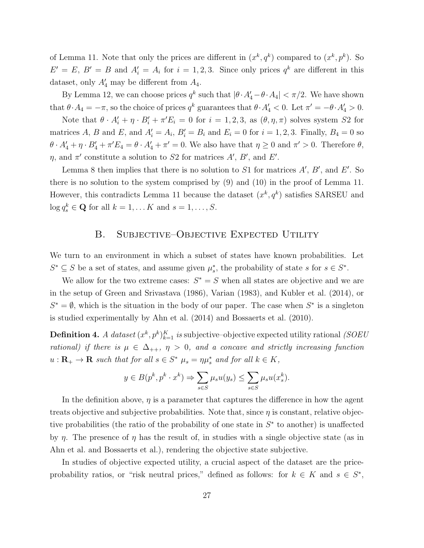of Lemma 11. Note that only the prices are different in  $(x^k, q^k)$  compared to  $(x^k, p^k)$ . So  $E' = E, B' = B$  and  $A'_i = A_i$  for  $i = 1, 2, 3$ . Since only prices  $q^k$  are different in this dataset, only  $A'_4$  may be different from  $A_4$ .

By Lemma 12, we can choose prices  $q^k$  such that  $|\theta \cdot A_4' - \theta \cdot A_4| < \pi/2$ . We have shown that  $\theta \cdot A_4 = -\pi$ , so the choice of prices  $q^k$  guarantees that  $\theta \cdot A'_4 < 0$ . Let  $\pi' = -\theta \cdot A'_4 > 0$ .

Note that  $\theta \cdot A'_i + \eta \cdot B'_i + \pi' E_i = 0$  for  $i = 1, 2, 3$ , as  $(\theta, \eta, \pi)$  solves system S2 for matrices A, B and E, and  $A'_i = A_i$ ,  $B'_i = B_i$  and  $E_i = 0$  for  $i = 1, 2, 3$ . Finally,  $B_4 = 0$  so  $\theta \cdot A'_4 + \eta \cdot B'_4 + \pi' E_4 = \theta \cdot A'_4 + \pi' = 0$ . We also have that  $\eta \ge 0$  and  $\pi' > 0$ . Therefore  $\theta$ ,  $\eta$ , and  $\pi'$  constitute a solution to S2 for matrices A', B', and E'.

Lemma 8 then implies that there is no solution to  $S1$  for matrices  $A', B'$ , and  $E'$ . So there is no solution to the system comprised by (9) and (10) in the proof of Lemma 11. However, this contradicts Lemma 11 because the dataset  $(x^k, q^k)$  satisfies SARSEU and  $\log q_s^k \in \mathbf{Q}$  for all  $k = 1, \dots, K$  and  $s = 1, \dots, S$ .

# B. Subjective–Objective Expected Utility

We turn to an environment in which a subset of states have known probabilities. Let  $S^* \subseteq S$  be a set of states, and assume given  $\mu_s^*$ , the probability of state s for  $s \in S^*$ .

We allow for the two extreme cases:  $S^* = S$  when all states are objective and we are in the setup of Green and Srivastava (1986), Varian (1983), and Kubler et al. (2014), or  $S^* = \emptyset$ , which is the situation in the body of our paper. The case when  $S^*$  is a singleton is studied experimentally by Ahn et al. (2014) and Bossaerts et al. (2010).

**Definition 4.** A dataset  $(x^k, p^k)_{k=1}^K$  is subjective–objective expected utility rational (SOEU) rational) if there is  $\mu \in \Delta_{++}$ ,  $\eta > 0$ , and a concave and strictly increasing function  $u: \mathbf{R}_{+} \to \mathbf{R}$  such that for all  $s \in S^*$   $\mu_s = \eta \mu_s^*$  and for all  $k \in K$ ,

$$
y \in B(p^k, p^k \cdot x^k) \Rightarrow \sum_{s \in S} \mu_s u(y_s) \le \sum_{s \in S} \mu_s u(x_s^k).
$$

In the definition above,  $\eta$  is a parameter that captures the difference in how the agent treats objective and subjective probabilities. Note that, since  $\eta$  is constant, relative objective probabilities (the ratio of the probability of one state in  $S^*$  to another) is unaffected by  $\eta$ . The presence of  $\eta$  has the result of, in studies with a single objective state (as in Ahn et al. and Bossaerts et al.), rendering the objective state subjective.

In studies of objective expected utility, a crucial aspect of the dataset are the priceprobability ratios, or "risk neutral prices," defined as follows: for  $k \in K$  and  $s \in S^*$ ,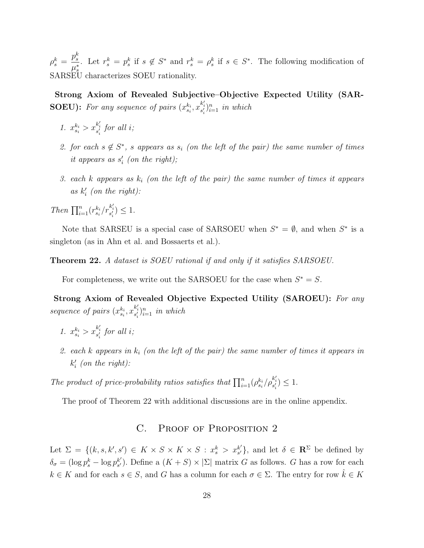$\rho_s^k =$  $p_s^k$  $\frac{\mu_s}{\mu_s^*}$ . Let  $r_s^k = p_s^k$  if  $s \notin S^*$  and  $r_s^k = \rho_s^k$  if  $s \in S^*$ . The following modification of  $SARSE\overset{\mu_s}{\text{U}}$  characterizes SOEU rationality.

Strong Axiom of Revealed Subjective–Objective Expected Utility (SAR-**SOEU**): For any sequence of pairs  $(x_{s_i}^{k_i}, x_{s'_i}^{k'_i})_{i=1}^n$  in which

- 1.  $x_{s_i}^{k_i} > x_{s'_i}^{k'_i}$  for all *i*;
- 2. for each  $s \notin S^*$ , s appears as  $s_i$  (on the left of the pair) the same number of times it appears as  $s_i'$  (on the right);
- 3. each k appears as  $k_i$  (on the left of the pair) the same number of times it appears as  $k_i'$  (on the right):

Then  $\prod_{i=1}^{n} (r_{s_i}^{k_i}/r_{s'_i}^{k'_i}) \leq 1.$ 

Note that SARSEU is a special case of SARSOEU when  $S^* = \emptyset$ , and when  $S^*$  is a singleton (as in Ahn et al. and Bossaerts et al.).

Theorem 22. A dataset is SOEU rational if and only if it satisfies SARSOEU.

For completeness, we write out the SARSOEU for the case when  $S^* = S$ .

Strong Axiom of Revealed Objective Expected Utility (SAROEU): For any sequence of pairs  $(x_{s_i}^{k_i}, x_{s'_i}^{k'_i})_{i=1}^n$  in which

- 1.  $x_{s_i}^{k_i} > x_{s_i'}^{k_i'}$  for all *i*;
- 2. each k appears in  $k_i$  (on the left of the pair) the same number of times it appears in  $k_i'$  (on the right):

The product of price-probability ratios satisfies that  $\prod_{i=1}^{n} (\rho_{s_i}^{k_i} / \rho_{s'_i}^{k'_i}) \leq 1$ .

The proof of Theorem 22 with additional discussions are in the online appendix.

# C. PROOF OF PROPOSITION 2

Let  $\Sigma = \{(k, s, k', s') \in K \times S \times K \times S : x_s^k > x_{s'}^{k'}\}$  $s'_{s'}$ , and let  $\delta \in \mathbb{R}^{\Sigma}$  be defined by  $\delta_{\sigma} = (\log p_s^k - \log p_{s'}^{k'})$  $s'_{s'}$ ). Define a  $(K + S) \times |\Sigma|$  matrix G as follows. G has a row for each  $k \in K$  and for each  $s \in S$ , and G has a column for each  $\sigma \in \Sigma$ . The entry for row  $\hat{k} \in K$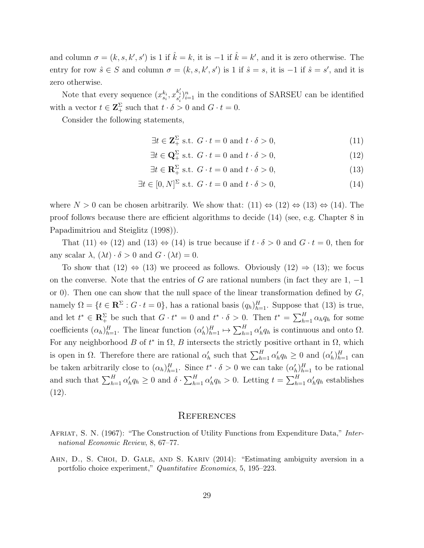and column  $\sigma = (k, s, k', s')$  is 1 if  $\hat{k} = k$ , it is  $-1$  if  $\hat{k} = k'$ , and it is zero otherwise. The entry for row  $\hat{s} \in S$  and column  $\sigma = (k, s, k', s')$  is 1 if  $\hat{s} = s$ , it is  $-1$  if  $\hat{s} = s'$ , and it is zero otherwise.

Note that every sequence  $(x_{s_i}^{k_i}, x_{s'_i}^{k'_i})_{i=1}^n$  in the conditions of SARSEU can be identified with a vector  $t \in \mathbb{Z}_+^{\Sigma}$  such that  $t \cdot \delta > 0$  and  $G \cdot t = 0$ .

Consider the following statements,

$$
\exists t \in \mathbf{Z}_{+}^{\Sigma} \text{ s.t. } G \cdot t = 0 \text{ and } t \cdot \delta > 0,
$$
\n(11)

$$
\exists t \in \mathbf{Q}_+^{\Sigma} \text{ s.t. } G \cdot t = 0 \text{ and } t \cdot \delta > 0,
$$
\n
$$
(12)
$$

$$
\exists t \in \mathbf{R}_+^{\Sigma} \text{ s.t. } G \cdot t = 0 \text{ and } t \cdot \delta > 0,
$$
\n(13)

$$
\exists t \in [0, N]^{\Sigma} \text{ s.t. } G \cdot t = 0 \text{ and } t \cdot \delta > 0,
$$
\n(14)

where  $N > 0$  can be chosen arbitrarily. We show that:  $(11) \Leftrightarrow (12) \Leftrightarrow (13) \Leftrightarrow (14)$ . The proof follows because there are efficient algorithms to decide (14) (see, e.g. Chapter 8 in Papadimitriou and Steiglitz (1998)).

That  $(11) \Leftrightarrow (12)$  and  $(13) \Leftrightarrow (14)$  is true because if  $t \cdot \delta > 0$  and  $G \cdot t = 0$ , then for any scalar  $\lambda$ ,  $(\lambda t) \cdot \delta > 0$  and  $G \cdot (\lambda t) = 0$ .

To show that (12)  $\Leftrightarrow$  (13) we proceed as follows. Obviously (12)  $\Rightarrow$  (13); we focus on the converse. Note that the entries of G are rational numbers (in fact they are  $1, -1$ or 0). Then one can show that the null space of the linear transformation defined by  $G$ , namely  $\Omega = \{t \in \mathbb{R}^{\Sigma} : G \cdot t = 0\}$ , has a rational basis  $(q_h)_{h=1}^H$ . Suppose that (13) is true, and let  $t^* \in \mathbb{R}_+^{\Sigma}$  be such that  $G \cdot t^* = 0$  and  $t^* \cdot \delta > 0$ . Then  $t^* = \sum_{h=1}^H \alpha_h q_h$  for some coefficients  $(\alpha_h)_{h=1}^H$ . The linear function  $(\alpha_h')_{h=1}^H \mapsto \sum_{h=1}^H \alpha_h' q_h$  is continuous and onto  $\Omega$ . For any neighborhood B of  $t^*$  in  $\Omega$ , B intersects the strictly positive orthant in  $\Omega$ , which is open in  $\Omega$ . Therefore there are rational  $\alpha'_h$  such that  $\sum_{h=1}^H \alpha'_h q_h \geq 0$  and  $(\alpha'_h)_{h=1}^H$  can be taken arbitrarily close to  $(\alpha_h)_{h=1}^H$ . Since  $t^* \cdot \delta > 0$  we can take  $(\alpha'_h)_{h=1}^H$  to be rational and such that  $\sum_{h=1}^{H} \alpha'_h q_h \geq 0$  and  $\delta \cdot \sum_{h=1}^{H} \alpha'_h q_h > 0$ . Letting  $t = \sum_{h=1}^{H} \alpha'_h q_h$  establishes (12).

#### **REFERENCES**

- AFRIAT, S. N. (1967): "The Construction of Utility Functions from Expenditure Data," International Economic Review, 8, 67–77.
- AHN, D., S. CHOI, D. GALE, AND S. KARIV (2014): "Estimating ambiguity aversion in a portfolio choice experiment," Quantitative Economics, 5, 195–223.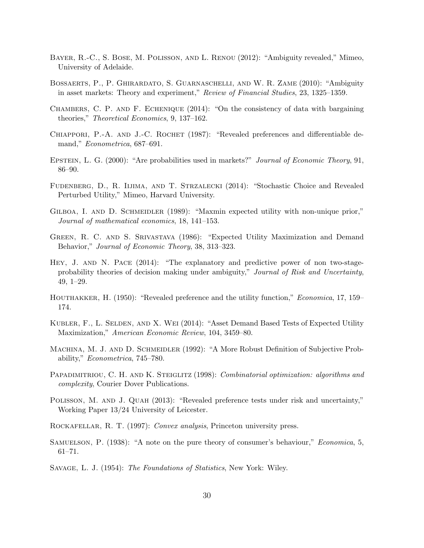- Bayer, R.-C., S. Bose, M. Polisson, and L. Renou (2012): "Ambiguity revealed," Mimeo, University of Adelaide.
- Bossaerts, P., P. Ghirardato, S. Guarnaschelli, and W. R. Zame (2010): "Ambiguity in asset markets: Theory and experiment," Review of Financial Studies, 23, 1325–1359.
- Chambers, C. P. and F. Echenique (2014): "On the consistency of data with bargaining theories," Theoretical Economics, 9, 137–162.
- CHIAPPORI, P.-A. AND J.-C. ROCHET (1987): "Revealed preferences and differentiable demand," Econometrica, 687–691.
- EPSTEIN, L. G. (2000): "Are probabilities used in markets?" Journal of Economic Theory, 91, 86–90.
- Fudenberg, D., R. Iijima, and T. Strzalecki (2014): "Stochastic Choice and Revealed Perturbed Utility," Mimeo, Harvard University.
- GILBOA, I. AND D. SCHMEIDLER (1989): "Maxmin expected utility with non-unique prior," Journal of mathematical economics, 18, 141–153.
- Green, R. C. and S. Srivastava (1986): "Expected Utility Maximization and Demand Behavior," Journal of Economic Theory, 38, 313–323.
- HEY, J. AND N. PACE (2014): "The explanatory and predictive power of non two-stageprobability theories of decision making under ambiguity," Journal of Risk and Uncertainty, 49, 1–29.
- HOUTHAKKER, H. (1950): "Revealed preference and the utility function," *Economica*, 17, 159– 174.
- KUBLER, F., L. SELDEN, AND X. WEI (2014): "Asset Demand Based Tests of Expected Utility Maximization," American Economic Review, 104, 3459–80.
- MACHINA, M. J. AND D. SCHMEIDLER (1992): "A More Robust Definition of Subjective Probability," Econometrica, 745–780.
- PAPADIMITRIOU, C. H. AND K. STEIGLITZ (1998): *Combinatorial optimization: algorithms and* complexity, Courier Dover Publications.
- POLISSON, M. AND J. QUAH (2013): "Revealed preference tests under risk and uncertainty," Working Paper 13/24 University of Leicester.

ROCKAFELLAR, R. T. (1997): Convex analysis, Princeton university press.

- SAMUELSON, P. (1938): "A note on the pure theory of consumer's behaviour," *Economica*, 5, 61–71.
- Savage, L. J. (1954): The Foundations of Statistics, New York: Wiley.